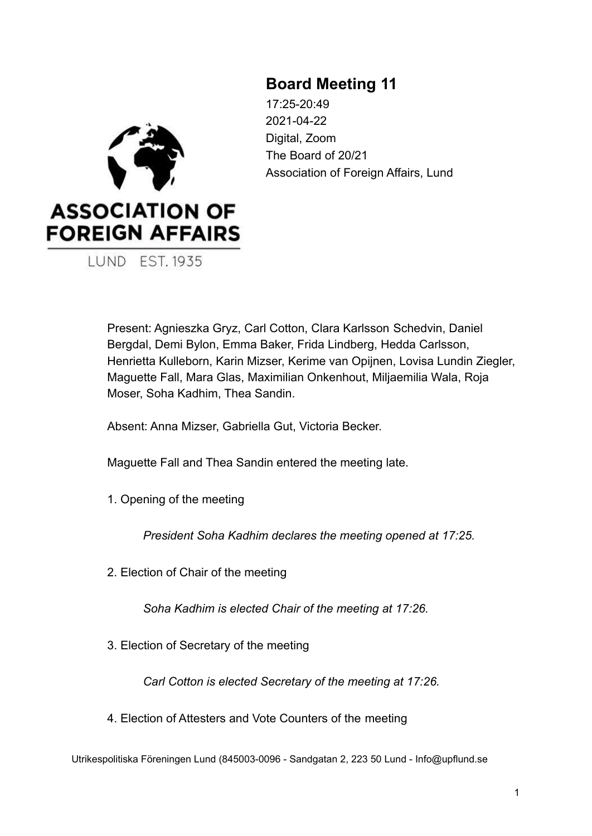# **Board Meeting 11**



17:25-20:49 2021-04-22 Digital, Zoom The Board of 20/21 Association of Foreign Affairs, Lund

Present: Agnieszka Gryz, Carl Cotton, Clara Karlsson Schedvin, Daniel Bergdal, Demi Bylon, Emma Baker, Frida Lindberg, Hedda Carlsson, Henrietta Kulleborn, Karin Mizser, Kerime van Opijnen, Lovisa Lundin Ziegler, Maguette Fall, Mara Glas, Maximilian Onkenhout, Miljaemilia Wala, Roja Moser, Soha Kadhim, Thea Sandin.

Absent: Anna Mizser, Gabriella Gut, Victoria Becker.

Maguette Fall and Thea Sandin entered the meeting late.

1. Opening of the meeting

*President Soha Kadhim declares the meeting opened at 17:25.*

2. Election of Chair of the meeting

*Soha Kadhim is elected Chair of the meeting at 17:26.*

3. Election of Secretary of the meeting

*Carl Cotton is elected Secretary of the meeting at 17:26.*

4. Election of Attesters and Vote Counters of the meeting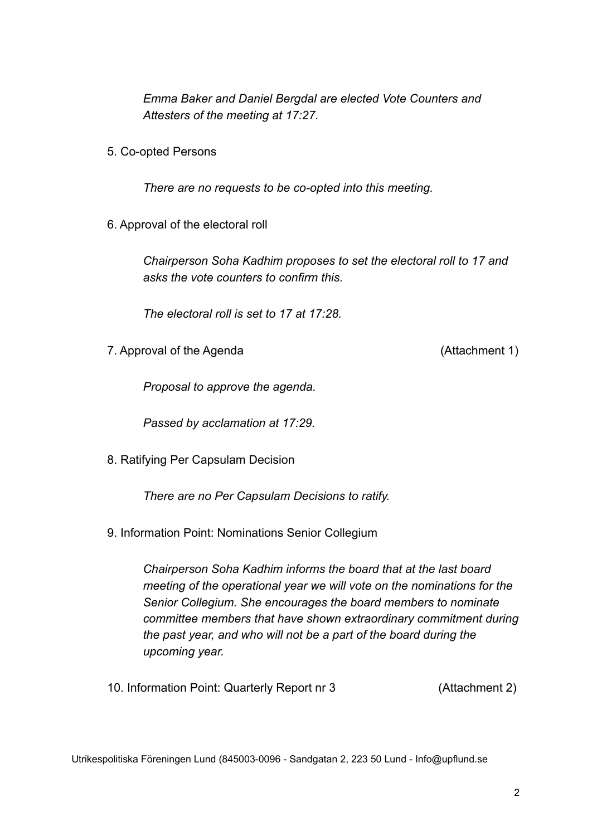*Emma Baker and Daniel Bergdal are elected Vote Counters and Attesters of the meeting at 17:27.*

5. Co-opted Persons

*There are no requests to be co-opted into this meeting.*

6. Approval of the electoral roll

*Chairperson Soha Kadhim proposes to set the electoral roll to 17 and asks the vote counters to confirm this.*

*The electoral roll is set to 17 at 17:28.*

7. Approval of the Agenda (Attachment 1)

*Proposal to approve the agenda.*

*Passed by acclamation at 17:29.*

8. Ratifying Per Capsulam Decision

*There are no Per Capsulam Decisions to ratify.*

9. Information Point: Nominations Senior Collegium

*Chairperson Soha Kadhim informs the board that at the last board meeting of the operational year we will vote on the nominations for the Senior Collegium. She encourages the board members to nominate committee members that have shown extraordinary commitment during the past year, and who will not be a part of the board during the upcoming year.*

10. Information Point: Quarterly Report nr 3 (Attachment 2)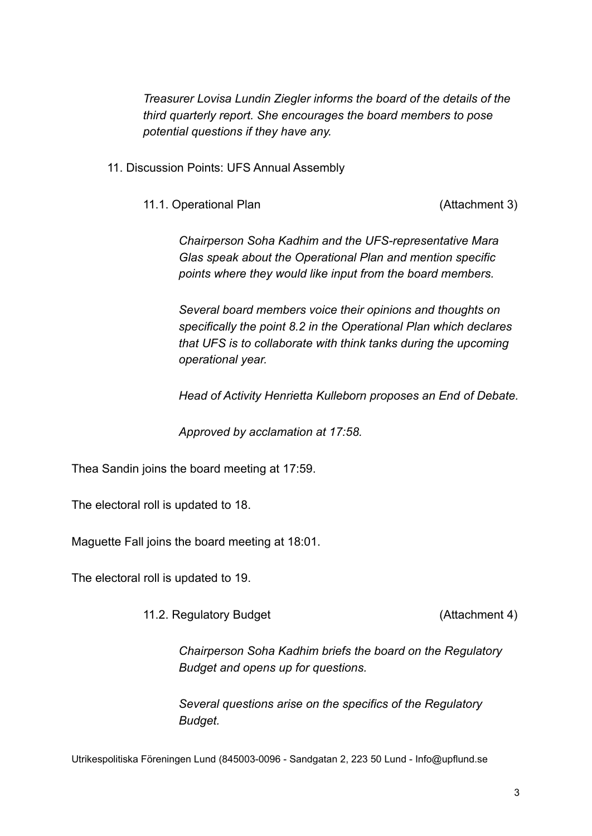*Treasurer Lovisa Lundin Ziegler informs the board of the details of the third quarterly report. She encourages the board members to pose potential questions if they have any.*

- 11. Discussion Points: UFS Annual Assembly
	- 11.1. Operational Plan (Attachment 3)

*Chairperson Soha Kadhim and the UFS-representative Mara Glas speak about the Operational Plan and mention specific points where they would like input from the board members.*

*Several board members voice their opinions and thoughts on specifically the point 8.2 in the Operational Plan which declares that UFS is to collaborate with think tanks during the upcoming operational year.*

*Head of Activity Henrietta Kulleborn proposes an End of Debate.*

*Approved by acclamation at 17:58.*

Thea Sandin joins the board meeting at 17:59.

The electoral roll is updated to 18.

Maguette Fall joins the board meeting at 18:01.

The electoral roll is updated to 19.

11.2. Regulatory Budget (Attachment 4)

*Chairperson Soha Kadhim briefs the board on the Regulatory Budget and opens up for questions.*

*Several questions arise on the specifics of the Regulatory Budget.*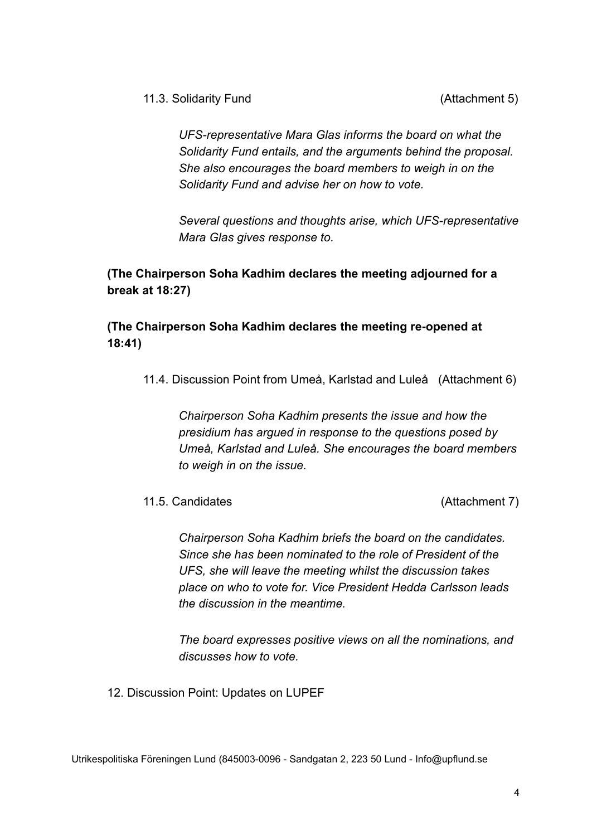11.3. Solidarity Fund (Attachment 5)

*UFS-representative Mara Glas informs the board on what the Solidarity Fund entails, and the arguments behind the proposal. She also encourages the board members to weigh in on the Solidarity Fund and advise her on how to vote.*

*Several questions and thoughts arise, which UFS-representative Mara Glas gives response to.*

**(The Chairperson Soha Kadhim declares the meeting adjourned for a break at 18:27)**

**(The Chairperson Soha Kadhim declares the meeting re-opened at 18:41)**

11.4. Discussion Point from Umeå, Karlstad and Luleå (Attachment 6)

*Chairperson Soha Kadhim presents the issue and how the presidium has argued in response to the questions posed by Umeå, Karlstad and Luleå. She encourages the board members to weigh in on the issue.*

11.5. Candidates (Attachment 7)

*Chairperson Soha Kadhim briefs the board on the candidates. Since she has been nominated to the role of President of the UFS, she will leave the meeting whilst the discussion takes place on who to vote for. Vice President Hedda Carlsson leads the discussion in the meantime.*

*The board expresses positive views on all the nominations, and discusses how to vote.*

12. Discussion Point: Updates on LUPEF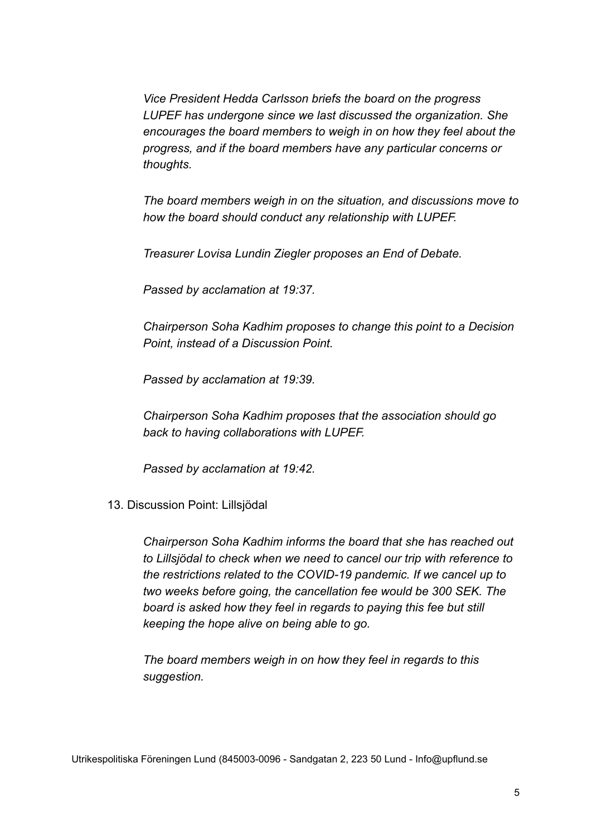*Vice President Hedda Carlsson briefs the board on the progress LUPEF has undergone since we last discussed the organization. She encourages the board members to weigh in on how they feel about the progress, and if the board members have any particular concerns or thoughts.*

*The board members weigh in on the situation, and discussions move to how the board should conduct any relationship with LUPEF.*

*Treasurer Lovisa Lundin Ziegler proposes an End of Debate.*

*Passed by acclamation at 19:37.*

*Chairperson Soha Kadhim proposes to change this point to a Decision Point, instead of a Discussion Point.*

*Passed by acclamation at 19:39.*

*Chairperson Soha Kadhim proposes that the association should go back to having collaborations with LUPEF.*

*Passed by acclamation at 19:42.*

13. Discussion Point: Lillsjödal

*Chairperson Soha Kadhim informs the board that she has reached out to Lillsjödal to check when we need to cancel our trip with reference to the restrictions related to the COVID-19 pandemic. If we cancel up to two weeks before going, the cancellation fee would be 300 SEK. The board is asked how they feel in regards to paying this fee but still keeping the hope alive on being able to go.*

*The board members weigh in on how they feel in regards to this suggestion.*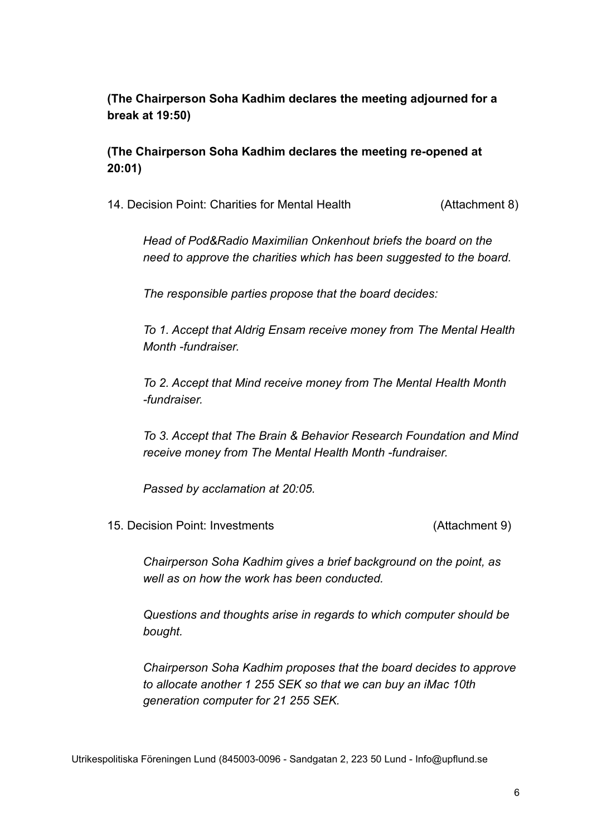# **(The Chairperson Soha Kadhim declares the meeting adjourned for a break at 19:50)**

# **(The Chairperson Soha Kadhim declares the meeting re-opened at 20:01)**

14. Decision Point: Charities for Mental Health (Attachment 8)

*Head of Pod&Radio Maximilian Onkenhout briefs the board on the need to approve the charities which has been suggested to the board.*

*The responsible parties propose that the board decides:*

*To 1. Accept that Aldrig Ensam receive money from The Mental Health Month -fundraiser.*

*To 2. Accept that Mind receive money from The Mental Health Month -fundraiser.*

*To 3. Accept that The Brain & Behavior Research Foundation and Mind receive money from The Mental Health Month -fundraiser.*

*Passed by acclamation at 20:05.*

15. Decision Point: Investments (Attachment 9)

*Chairperson Soha Kadhim gives a brief background on the point, as well as on how the work has been conducted.*

*Questions and thoughts arise in regards to which computer should be bought.*

*Chairperson Soha Kadhim proposes that the board decides to approve to allocate another 1 255 SEK so that we can buy an iMac 10th generation computer for 21 255 SEK.*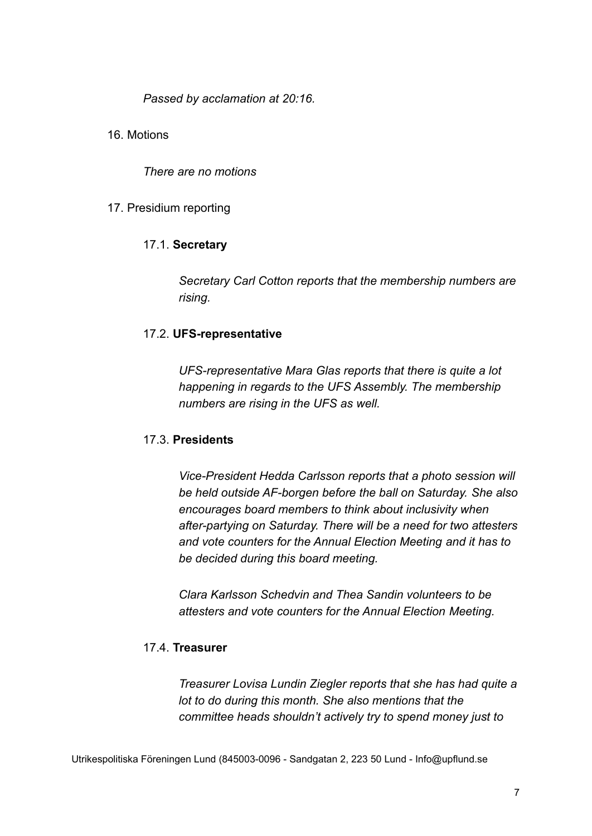*Passed by acclamation at 20:16.*

16. Motions

*There are no motions*

# 17. Presidium reporting

# 17.1. **Secretary**

*Secretary Carl Cotton reports that the membership numbers are rising.*

# 17.2. **UFS-representative**

*UFS-representative Mara Glas reports that there is quite a lot happening in regards to the UFS Assembly. The membership numbers are rising in the UFS as well.*

# 17.3. **Presidents**

*Vice-President Hedda Carlsson reports that a photo session will be held outside AF-borgen before the ball on Saturday. She also encourages board members to think about inclusivity when after-partying on Saturday. There will be a need for two attesters and vote counters for the Annual Election Meeting and it has to be decided during this board meeting.*

*Clara Karlsson Schedvin and Thea Sandin volunteers to be attesters and vote counters for the Annual Election Meeting.*

# 17.4. **Treasurer**

*Treasurer Lovisa Lundin Ziegler reports that she has had quite a lot to do during this month. She also mentions that the committee heads shouldn't actively try to spend money just to*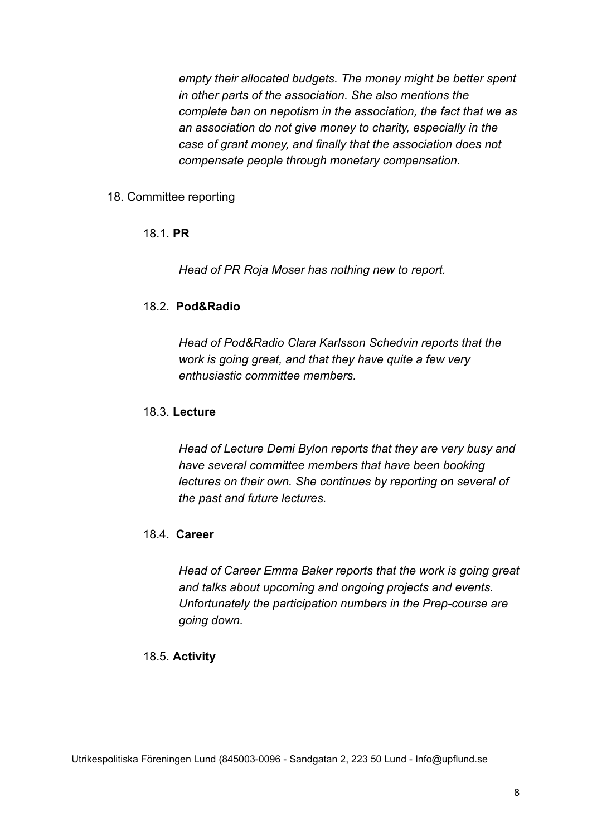*empty their allocated budgets. The money might be better spent in other parts of the association. She also mentions the complete ban on nepotism in the association, the fact that we as an association do not give money to charity, especially in the case of grant money, and finally that the association does not compensate people through monetary compensation.*

# 18. Committee reporting

# 18.1. **PR**

*Head of PR Roja Moser has nothing new to report.*

# 18.2. **Pod&Radio**

*Head of Pod&Radio Clara Karlsson Schedvin reports that the work is going great, and that they have quite a few very enthusiastic committee members.*

# 18.3. **Lecture**

*Head of Lecture Demi Bylon reports that they are very busy and have several committee members that have been booking lectures on their own. She continues by reporting on several of the past and future lectures.*

# 18.4. **Career**

*Head of Career Emma Baker reports that the work is going great and talks about upcoming and ongoing projects and events. Unfortunately the participation numbers in the Prep-course are going down.*

# 18.5. **Activity**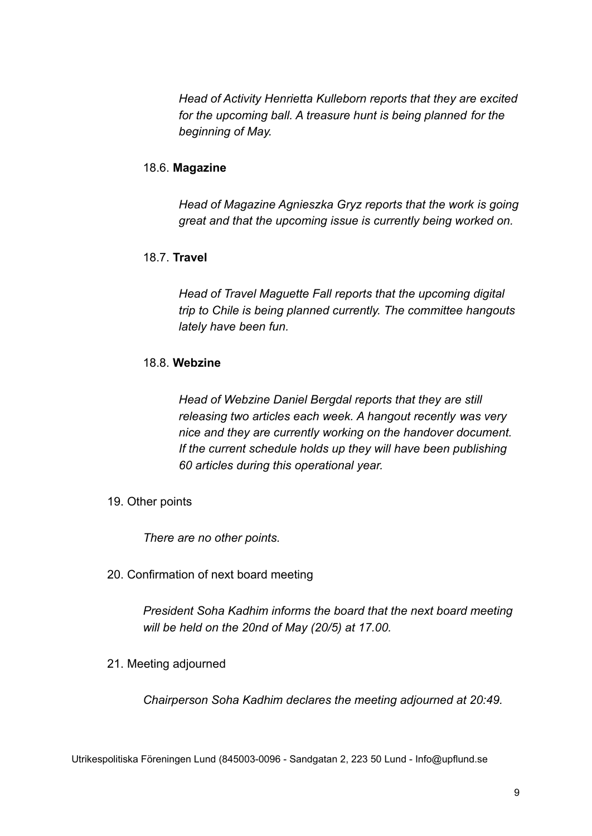*Head of Activity Henrietta Kulleborn reports that they are excited for the upcoming ball. A treasure hunt is being planned for the beginning of May.*

# 18.6. **Magazine**

*Head of Magazine Agnieszka Gryz reports that the work is going great and that the upcoming issue is currently being worked on.*

# 18.7. **Travel**

*Head of Travel Maguette Fall reports that the upcoming digital trip to Chile is being planned currently. The committee hangouts lately have been fun.*

# 18.8. **Webzine**

*Head of Webzine Daniel Bergdal reports that they are still releasing two articles each week. A hangout recently was very nice and they are currently working on the handover document. If the current schedule holds up they will have been publishing 60 articles during this operational year.*

19. Other points

*There are no other points.*

20. Confirmation of next board meeting

*President Soha Kadhim informs the board that the next board meeting will be held on the 20nd of May (20/5) at 17.00.*

21. Meeting adjourned

*Chairperson Soha Kadhim declares the meeting adjourned at 20:49.*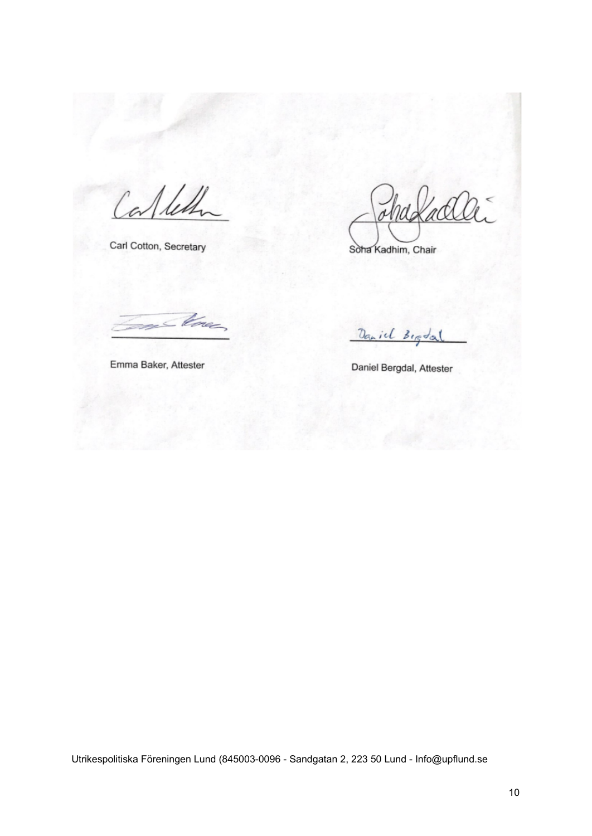Calles

Carl Cotton, Secretary

Soha Kadhim, Chair

- Cone

Emma Baker, Attester

Daniel Begdal

Daniel Bergdal, Attester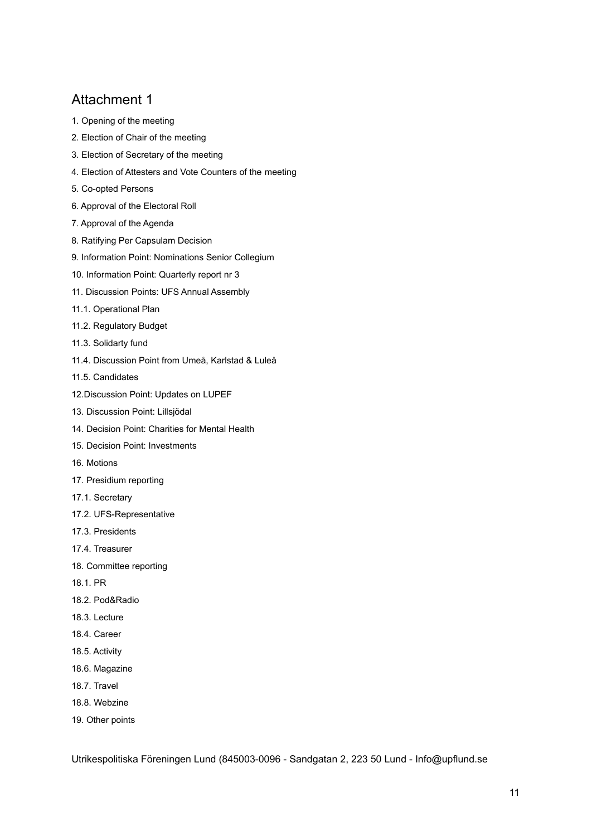- 1. Opening of the meeting
- 2. Election of Chair of the meeting
- 3. Election of Secretary of the meeting
- 4. Election of Attesters and Vote Counters of the meeting
- 5. Co-opted Persons
- 6. Approval of the Electoral Roll
- 7. Approval of the Agenda
- 8. Ratifying Per Capsulam Decision
- 9. Information Point: Nominations Senior Collegium
- 10. Information Point: Quarterly report nr 3
- 11. Discussion Points: UFS Annual Assembly
- 11.1. Operational Plan
- 11.2. Regulatory Budget
- 11.3. Solidarty fund
- 11.4. Discussion Point from Umeå, Karlstad & Luleå
- 11.5. Candidates
- 12.Discussion Point: Updates on LUPEF
- 13. Discussion Point: Lillsjödal
- 14. Decision Point: Charities for Mental Health
- 15. Decision Point: Investments
- 16. Motions
- 17. Presidium reporting
- 17.1. Secretary
- 17.2. UFS-Representative
- 17.3. Presidents
- 17.4. Treasurer
- 18. Committee reporting
- 18.1. PR
- 18.2. Pod&Radio
- 18.3. Lecture
- 18.4. Career
- 18.5. Activity
- 18.6. Magazine
- 18.7. Travel
- 18.8. Webzine
- 19. Other points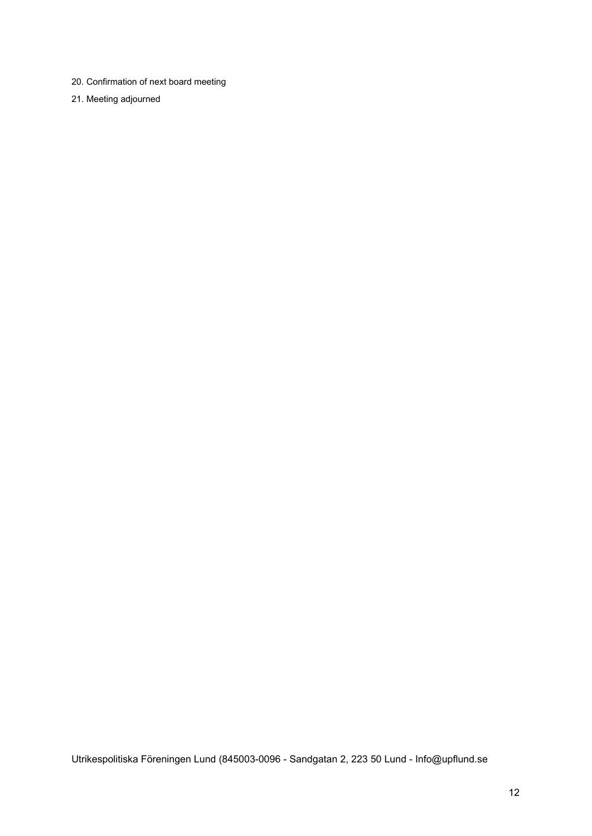- 20. Confirmation of next board meeting
- 21. Meeting adjourned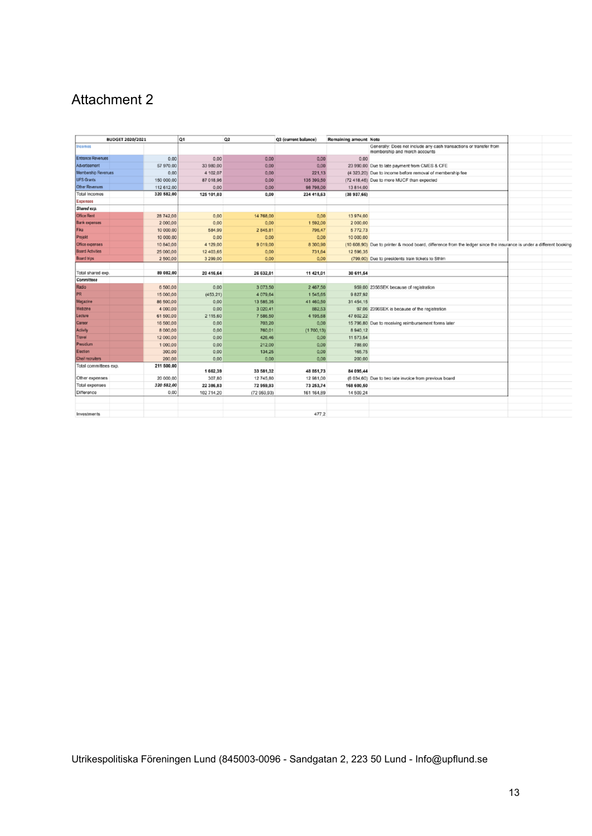|                          | <b>BUDGET 2020/2021</b> |            | Q1         | Q <sub>2</sub> | <b>Q3</b> (current balance) | <b>Remaining amount Note</b> |                                                                                                                      |  |
|--------------------------|-------------------------|------------|------------|----------------|-----------------------------|------------------------------|----------------------------------------------------------------------------------------------------------------------|--|
| <b>Incomes</b>           |                         |            |            |                |                             |                              | Generally: Does not include any cash transactions or transfer from<br>membership and merch accounts                  |  |
| <b>Entrance Revenues</b> |                         | 0,00       | 0,00       | 0.00           | 0.00                        | 0.00                         |                                                                                                                      |  |
| Advertisement            |                         | 57 970,00  | 33 980,00  | 0.00           | 0,00                        |                              | 23 990,00 Due to late payment from CMES & CFE                                                                        |  |
| Membership Revenues      |                         | 0,00       | 4 102,07   | 0.00           | 221,13                      |                              | (4 323,20) Due to income before removal of membership fee                                                            |  |
| <b>UFS Grants</b>        |                         | 150 000.00 | 87 018.96  | 0.00           | 135 399,50                  |                              | (72 418,46) Due to more MUCF than expected                                                                           |  |
| <b>Other Revenues</b>    |                         | 112 612.00 | 0,00       | 0.00           | 98 798,00                   | 13 814.00                    |                                                                                                                      |  |
| <b>Total Incomes</b>     |                         | 320 582,00 | 125 101,03 | 0,00           | 234 418,63                  | (38937,66)                   |                                                                                                                      |  |
| <b>Expenses</b>          |                         |            |            |                |                             |                              |                                                                                                                      |  |
| Shared exp.              |                         |            |            |                |                             |                              |                                                                                                                      |  |
| <b>Office Rent</b>       |                         | 28 742.00  | 0,00       | 14 768.00      | 0.00                        | 13 974.00                    |                                                                                                                      |  |
| <b>Bank expenses</b>     |                         | 2 000.00   | 0,00       | 0.00           | 1592,00                     | 2 000.00                     |                                                                                                                      |  |
| Fika                     |                         | 10 000,00  | 584,99     | 2 845.81       | 796,47                      | 5772.73                      |                                                                                                                      |  |
| Projekt                  |                         | 10 000.00  | 0.00       | 0.00           | 0.00                        | 10 000.00                    |                                                                                                                      |  |
| Office expenses          |                         | 10 840,00  | 4 129,00   | 9 019.00       | 8 300,90                    |                              | (10 608,90) Due to printer & mood board, difference from the ledger since the insurance is under a different booking |  |
| <b>Board Activities</b>  |                         | 25 000,00  | 12 403,65  | 0.00           | 731.64                      | 12 596.35                    |                                                                                                                      |  |
| <b>Board trips</b>       |                         | 2 500,00   | 3 299,00   | 0.00           | 0.00                        |                              | (799,00) Due to presidents train tickets to Sthim                                                                    |  |
|                          |                         |            |            |                |                             |                              |                                                                                                                      |  |
| Total shared exp.        |                         | 89 082,00  | 20 416,64  | 26 632,81      | 11 421,01                   | 30 611,54                    |                                                                                                                      |  |
| Committees               |                         |            |            |                |                             |                              |                                                                                                                      |  |
| Radio                    |                         | 6 500,00   | 0,00       | 3 073.50       | 2 467,50                    |                              | 959.00 2356SEK because of registration                                                                               |  |
| PR                       |                         | 15 000,00  | (453, 21)  | 4 079.64       | 1545.65                     | 9827.92                      |                                                                                                                      |  |
| Magazine                 |                         | 86 500.00  | 0.00       | 13 585.35      | 41 460.50                   | 31 454.15                    |                                                                                                                      |  |
| Webzine                  |                         | 4 000,00   | 0,00       | 3 0 20 41      | 882,53                      |                              | 97,06 2396SEK is because of the registration                                                                         |  |
| Lecture                  |                         | 61 500,00  | 2 115,60   | 7 586,50       | 4 195,68                    | 47 602.22                    |                                                                                                                      |  |
| Career                   |                         | 16 500,00  | 0,00       | 703.20         | 0.00                        |                              | 15 796,80 Due to receiving reimbursement forms later                                                                 |  |
| Activity                 |                         | 8 000,00   | 0,00       | 760.01         | (1700, 13)                  | 8 940.12                     |                                                                                                                      |  |
| Travel                   |                         | 12 000,00  | 0,00       | 426,46         | 0,00                        | 11 573.54                    |                                                                                                                      |  |
| Presidium                |                         | 1 000,00   | 0.00       | 212.00         | 0.00                        | 788.00                       |                                                                                                                      |  |
| Election                 |                         | 300,00     | 0,00       | 134,25         | 0,00                        | 165,75                       |                                                                                                                      |  |
| Cheif recruiters         |                         | 200.00     | 0.00       | 0.00           | 0.00                        | 200.00                       |                                                                                                                      |  |
| Total committees exp.    |                         | 211 500,00 | 1662,39    | 33 581,32      | 48 851,73                   | 84 095,44                    |                                                                                                                      |  |
| Other expenses           |                         | 20 000,00  | 307,80     | 12 745.80      | 12 981,00                   |                              | (6 034,60) Due to two late invoice from previous board                                                               |  |
| <b>Total expenses</b>    |                         | 320 582,00 | 22 386,83  | 72 959,93      | 73 253,74                   | 168 600,50                   |                                                                                                                      |  |
| Difference               |                         | 0,00       | 102 714,20 | (72959.93)     | 161 164,89                  | 14 509.24                    |                                                                                                                      |  |
|                          |                         |            |            |                |                             |                              |                                                                                                                      |  |
| Investments              |                         |            |            |                | 477.2                       |                              |                                                                                                                      |  |
|                          |                         |            |            |                |                             |                              |                                                                                                                      |  |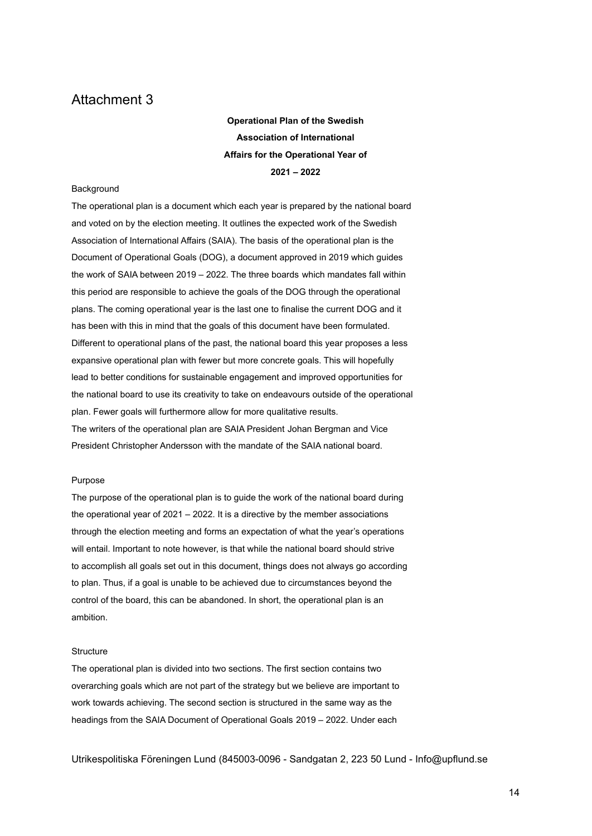**Operational Plan of the Swedish Association of International Affairs for the Operational Year of 2021 – 2022**

### **Background**

The operational plan is a document which each year is prepared by the national board and voted on by the election meeting. It outlines the expected work of the Swedish Association of International Affairs (SAIA). The basis of the operational plan is the Document of Operational Goals (DOG), a document approved in 2019 which guides the work of SAIA between 2019 – 2022. The three boards which mandates fall within this period are responsible to achieve the goals of the DOG through the operational plans. The coming operational year is the last one to finalise the current DOG and it has been with this in mind that the goals of this document have been formulated. Different to operational plans of the past, the national board this year proposes a less expansive operational plan with fewer but more concrete goals. This will hopefully lead to better conditions for sustainable engagement and improved opportunities for the national board to use its creativity to take on endeavours outside of the operational plan. Fewer goals will furthermore allow for more qualitative results. The writers of the operational plan are SAIA President Johan Bergman and Vice President Christopher Andersson with the mandate of the SAIA national board.

#### Purpose

The purpose of the operational plan is to guide the work of the national board during the operational year of 2021 – 2022. It is a directive by the member associations through the election meeting and forms an expectation of what the year's operations will entail. Important to note however, is that while the national board should strive to accomplish all goals set out in this document, things does not always go according to plan. Thus, if a goal is unable to be achieved due to circumstances beyond the control of the board, this can be abandoned. In short, the operational plan is an ambition.

#### **Structure**

The operational plan is divided into two sections. The first section contains two overarching goals which are not part of the strategy but we believe are important to work towards achieving. The second section is structured in the same way as the headings from the SAIA Document of Operational Goals 2019 – 2022. Under each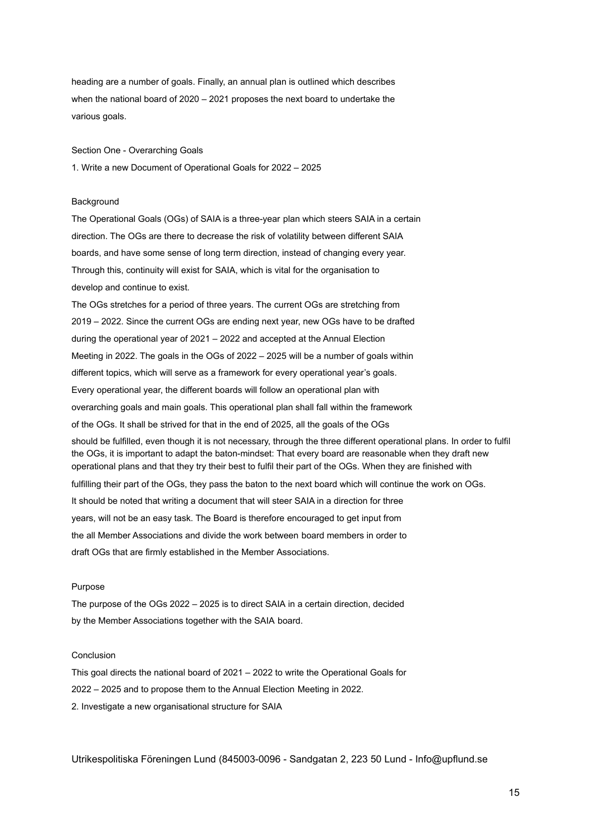heading are a number of goals. Finally, an annual plan is outlined which describes when the national board of 2020 – 2021 proposes the next board to undertake the various goals.

Section One - Overarching Goals

1. Write a new Document of Operational Goals for 2022 – 2025

#### **Background**

The Operational Goals (OGs) of SAIA is a three-year plan which steers SAIA in a certain direction. The OGs are there to decrease the risk of volatility between different SAIA boards, and have some sense of long term direction, instead of changing every year. Through this, continuity will exist for SAIA, which is vital for the organisation to develop and continue to exist.

The OGs stretches for a period of three years. The current OGs are stretching from 2019 – 2022. Since the current OGs are ending next year, new OGs have to be drafted during the operational year of 2021 – 2022 and accepted at the Annual Election Meeting in 2022. The goals in the OGs of 2022 – 2025 will be a number of goals within different topics, which will serve as a framework for every operational year's goals. Every operational year, the different boards will follow an operational plan with overarching goals and main goals. This operational plan shall fall within the framework of the OGs. It shall be strived for that in the end of 2025, all the goals of the OGs should be fulfilled, even though it is not necessary, through the three different operational plans. In order to fulfil the OGs, it is important to adapt the baton-mindset: That every board are reasonable when they draft new operational plans and that they try their best to fulfil their part of the OGs. When they are finished with fulfilling their part of the OGs, they pass the baton to the next board which will continue the work on OGs. It should be noted that writing a document that will steer SAIA in a direction for three years, will not be an easy task. The Board is therefore encouraged to get input from the all Member Associations and divide the work between board members in order to draft OGs that are firmly established in the Member Associations.

#### Purpose

The purpose of the OGs 2022 – 2025 is to direct SAIA in a certain direction, decided by the Member Associations together with the SAIA board.

### Conclusion

This goal directs the national board of 2021 – 2022 to write the Operational Goals for 2022 – 2025 and to propose them to the Annual Election Meeting in 2022. 2. Investigate a new organisational structure for SAIA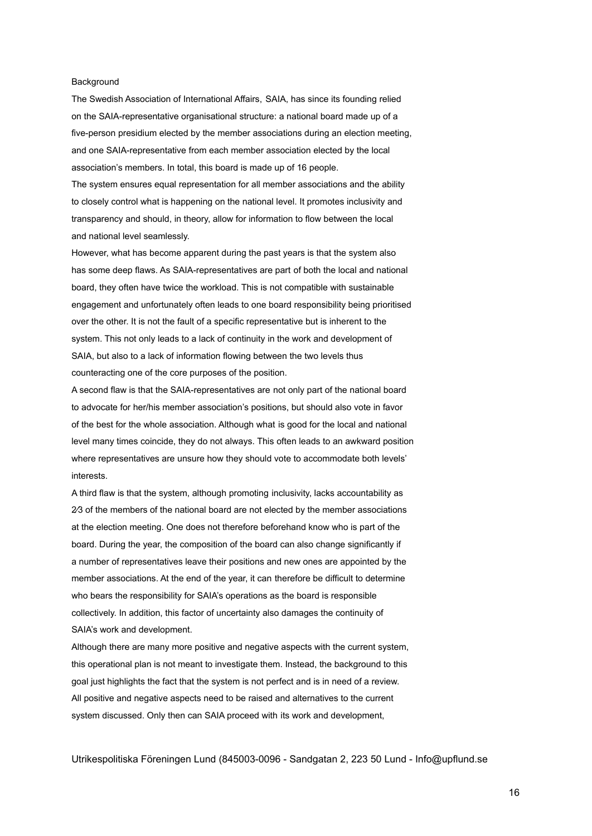### **Background**

The Swedish Association of International Affairs, SAIA, has since its founding relied on the SAIA-representative organisational structure: a national board made up of a five-person presidium elected by the member associations during an election meeting, and one SAIA-representative from each member association elected by the local association's members. In total, this board is made up of 16 people.

The system ensures equal representation for all member associations and the ability to closely control what is happening on the national level. It promotes inclusivity and transparency and should, in theory, allow for information to flow between the local and national level seamlessly.

However, what has become apparent during the past years is that the system also has some deep flaws. As SAIA-representatives are part of both the local and national board, they often have twice the workload. This is not compatible with sustainable engagement and unfortunately often leads to one board responsibility being prioritised over the other. It is not the fault of a specific representative but is inherent to the system. This not only leads to a lack of continuity in the work and development of SAIA, but also to a lack of information flowing between the two levels thus counteracting one of the core purposes of the position.

A second flaw is that the SAIA-representatives are not only part of the national board to advocate for her/his member association's positions, but should also vote in favor of the best for the whole association. Although what is good for the local and national level many times coincide, they do not always. This often leads to an awkward position where representatives are unsure how they should vote to accommodate both levels' interests.

A third flaw is that the system, although promoting inclusivity, lacks accountability as 2⁄3 of the members of the national board are not elected by the member associations at the election meeting. One does not therefore beforehand know who is part of the board. During the year, the composition of the board can also change significantly if a number of representatives leave their positions and new ones are appointed by the member associations. At the end of the year, it can therefore be difficult to determine who bears the responsibility for SAIA's operations as the board is responsible collectively. In addition, this factor of uncertainty also damages the continuity of SAIA's work and development.

Although there are many more positive and negative aspects with the current system, this operational plan is not meant to investigate them. Instead, the background to this goal just highlights the fact that the system is not perfect and is in need of a review. All positive and negative aspects need to be raised and alternatives to the current system discussed. Only then can SAIA proceed with its work and development,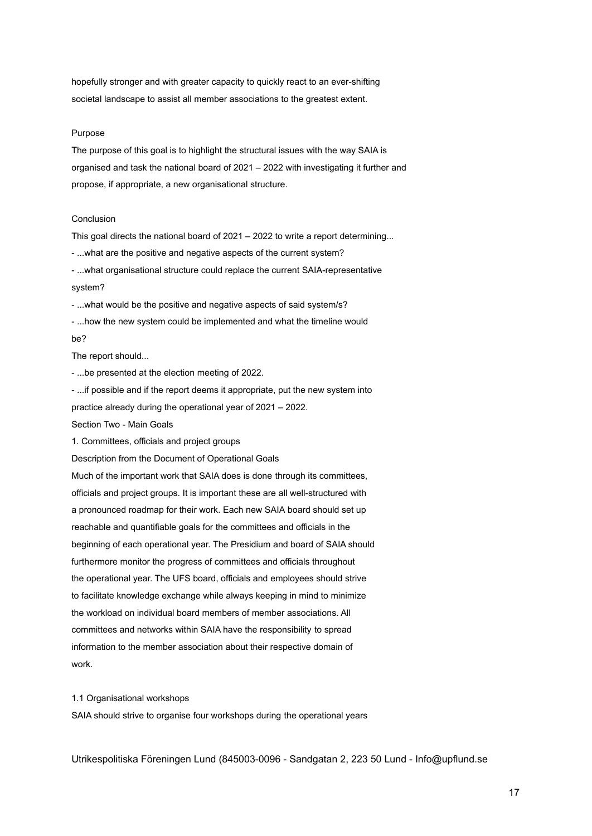hopefully stronger and with greater capacity to quickly react to an ever-shifting societal landscape to assist all member associations to the greatest extent.

#### Purpose

The purpose of this goal is to highlight the structural issues with the way SAIA is organised and task the national board of 2021 – 2022 with investigating it further and propose, if appropriate, a new organisational structure.

#### Conclusion

This goal directs the national board of 2021 – 2022 to write a report determining...

- ...what are the positive and negative aspects of the current system?

- ...what organisational structure could replace the current SAIA-representative system?

- ...what would be the positive and negative aspects of said system/s?

- ...how the new system could be implemented and what the timeline would be?

The report should...

- ...be presented at the election meeting of 2022.

- ...if possible and if the report deems it appropriate, put the new system into practice already during the operational year of 2021 – 2022. Section Two - Main Goals

1. Committees, officials and project groups

Description from the Document of Operational Goals

Much of the important work that SAIA does is done through its committees, officials and project groups. It is important these are all well-structured with a pronounced roadmap for their work. Each new SAIA board should set up reachable and quantifiable goals for the committees and officials in the beginning of each operational year. The Presidium and board of SAIA should furthermore monitor the progress of committees and officials throughout the operational year. The UFS board, officials and employees should strive to facilitate knowledge exchange while always keeping in mind to minimize the workload on individual board members of member associations. All committees and networks within SAIA have the responsibility to spread information to the member association about their respective domain of work.

#### 1.1 Organisational workshops

SAIA should strive to organise four workshops during the operational years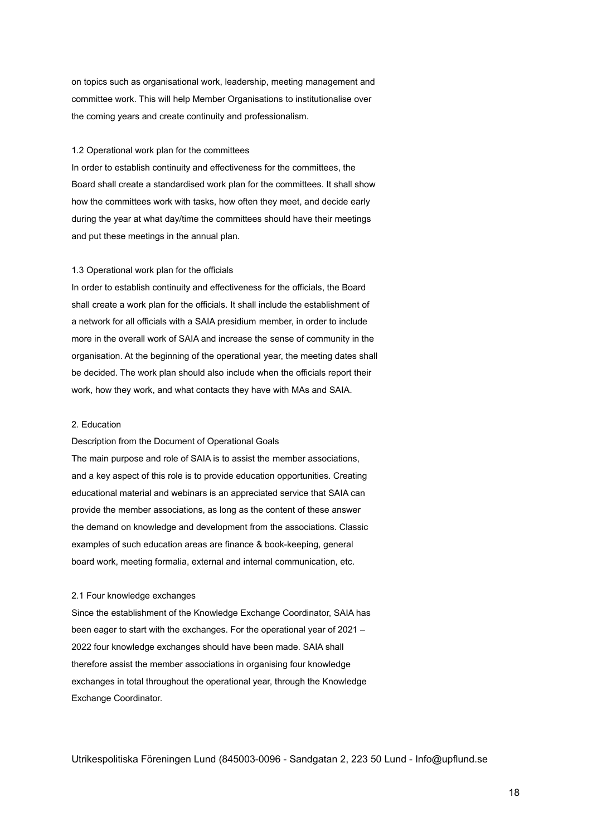on topics such as organisational work, leadership, meeting management and committee work. This will help Member Organisations to institutionalise over the coming years and create continuity and professionalism.

#### 1.2 Operational work plan for the committees

In order to establish continuity and effectiveness for the committees, the Board shall create a standardised work plan for the committees. It shall show how the committees work with tasks, how often they meet, and decide early during the year at what day/time the committees should have their meetings and put these meetings in the annual plan.

#### 1.3 Operational work plan for the officials

In order to establish continuity and effectiveness for the officials, the Board shall create a work plan for the officials. It shall include the establishment of a network for all officials with a SAIA presidium member, in order to include more in the overall work of SAIA and increase the sense of community in the organisation. At the beginning of the operational year, the meeting dates shall be decided. The work plan should also include when the officials report their work, how they work, and what contacts they have with MAs and SAIA.

#### 2. Education

Description from the Document of Operational Goals

The main purpose and role of SAIA is to assist the member associations, and a key aspect of this role is to provide education opportunities. Creating educational material and webinars is an appreciated service that SAIA can provide the member associations, as long as the content of these answer the demand on knowledge and development from the associations. Classic examples of such education areas are finance & book-keeping, general board work, meeting formalia, external and internal communication, etc.

### 2.1 Four knowledge exchanges

Since the establishment of the Knowledge Exchange Coordinator, SAIA has been eager to start with the exchanges. For the operational year of 2021 – 2022 four knowledge exchanges should have been made. SAIA shall therefore assist the member associations in organising four knowledge exchanges in total throughout the operational year, through the Knowledge Exchange Coordinator.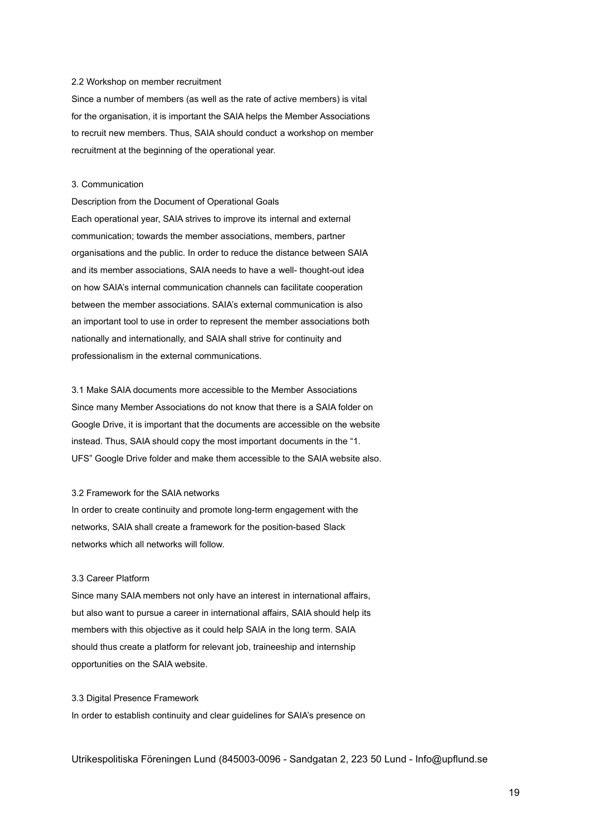### 2.2 Workshop on member recruitment

Since a number of members (as well as the rate of active members) is vital for the organisation, it is important the SAIA helps the Member Associations to recruit new members. Thus, SAIA should conduct a workshop on member recruitment at the beginning of the operational year.

### 3. Communication

Description from the Document of Operational Goals Each operational year, SAIA strives to improve its internal and external communication; towards the member associations, members, partner organisations and the public. In order to reduce the distance between SAIA and its member associations, SAIA needs to have a well- thought-out idea on how SAIA's internal communication channels can facilitate cooperation between the member associations. SAIA's external communication is also an important tool to use in order to represent the member associations both nationally and internationally, and SAIA shall strive for continuity and professionalism in the external communications.

3.1 Make SAIA documents more accessible to the Member Associations Since many Member Associations do not know that there is a SAIA folder on Google Drive, it is important that the documents are accessible on the website instead. Thus, SAIA should copy the most important documents in the "1. UFS" Google Drive folder and make them accessible to the SAIA website also.

#### 3.2 Framework for the SAIA networks

In order to create continuity and promote long-term engagement with the networks, SAIA shall create a framework for the position-based Slack networks which all networks will follow.

#### 3.3 Career Platform

Since many SAIA members not only have an interest in international affairs, but also want to pursue a career in international affairs, SAIA should help its members with this objective as it could help SAIA in the long term. SAIA should thus create a platform for relevant job, traineeship and internship opportunities on the SAIA website.

3.3 Digital Presence Framework In order to establish continuity and clear guidelines for SAIA's presence on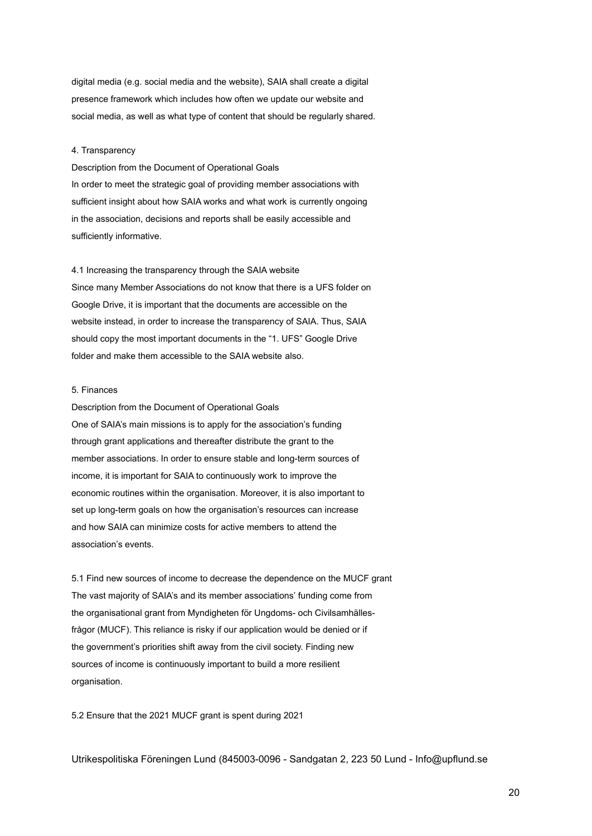digital media (e.g. social media and the website), SAIA shall create a digital presence framework which includes how often we update our website and social media, as well as what type of content that should be regularly shared.

#### 4. Transparency

Description from the Document of Operational Goals In order to meet the strategic goal of providing member associations with sufficient insight about how SAIA works and what work is currently ongoing in the association, decisions and reports shall be easily accessible and sufficiently informative.

4.1 Increasing the transparency through the SAIA website Since many Member Associations do not know that there is a UFS folder on Google Drive, it is important that the documents are accessible on the website instead, in order to increase the transparency of SAIA. Thus, SAIA should copy the most important documents in the "1. UFS" Google Drive folder and make them accessible to the SAIA website also.

### 5. Finances

Description from the Document of Operational Goals One of SAIA's main missions is to apply for the association's funding through grant applications and thereafter distribute the grant to the member associations. In order to ensure stable and long-term sources of income, it is important for SAIA to continuously work to improve the economic routines within the organisation. Moreover, it is also important to set up long-term goals on how the organisation's resources can increase and how SAIA can minimize costs for active members to attend the association's events.

5.1 Find new sources of income to decrease the dependence on the MUCF grant The vast majority of SAIA's and its member associations' funding come from the organisational grant from Myndigheten för Ungdoms- och Civilsamhällesfrågor (MUCF). This reliance is risky if our application would be denied or if the government's priorities shift away from the civil society. Finding new sources of income is continuously important to build a more resilient organisation.

5.2 Ensure that the 2021 MUCF grant is spent during 2021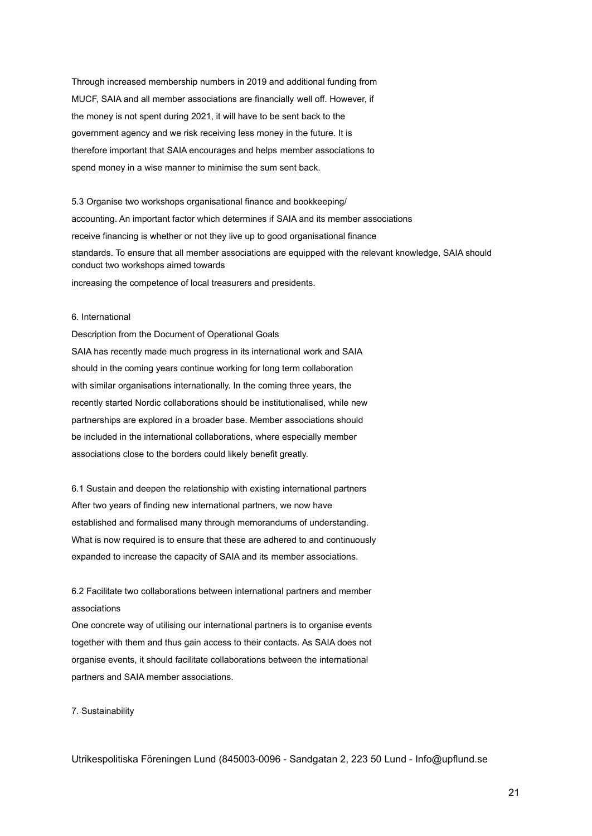Through increased membership numbers in 2019 and additional funding from MUCF, SAIA and all member associations are financially well off. However, if the money is not spent during 2021, it will have to be sent back to the government agency and we risk receiving less money in the future. It is therefore important that SAIA encourages and helps member associations to spend money in a wise manner to minimise the sum sent back.

5.3 Organise two workshops organisational finance and bookkeeping/ accounting. An important factor which determines if SAIA and its member associations receive financing is whether or not they live up to good organisational finance standards. To ensure that all member associations are equipped with the relevant knowledge, SAIA should conduct two workshops aimed towards

increasing the competence of local treasurers and presidents.

#### 6. International

Description from the Document of Operational Goals SAIA has recently made much progress in its international work and SAIA should in the coming years continue working for long term collaboration with similar organisations internationally. In the coming three years, the recently started Nordic collaborations should be institutionalised, while new partnerships are explored in a broader base. Member associations should be included in the international collaborations, where especially member associations close to the borders could likely benefit greatly.

6.1 Sustain and deepen the relationship with existing international partners After two years of finding new international partners, we now have established and formalised many through memorandums of understanding. What is now required is to ensure that these are adhered to and continuously expanded to increase the capacity of SAIA and its member associations.

6.2 Facilitate two collaborations between international partners and member associations

One concrete way of utilising our international partners is to organise events together with them and thus gain access to their contacts. As SAIA does not organise events, it should facilitate collaborations between the international partners and SAIA member associations.

7. Sustainability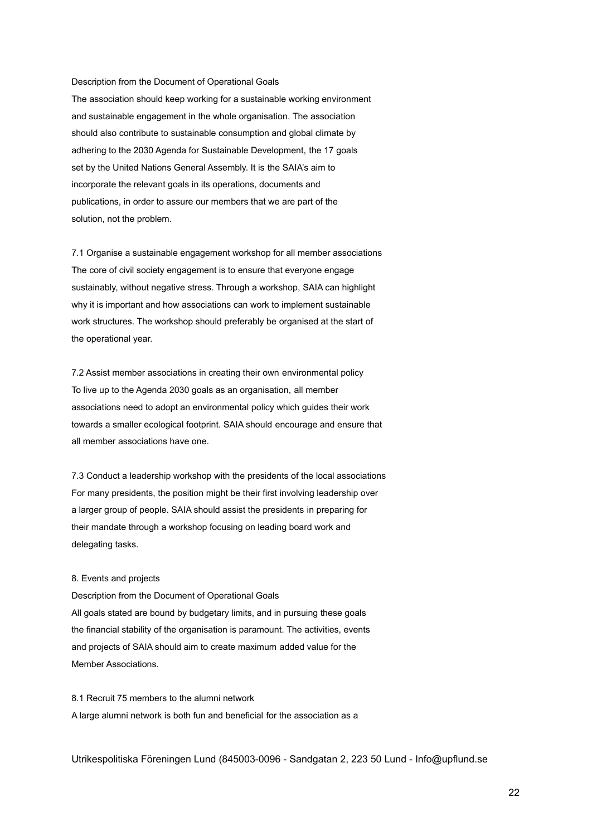Description from the Document of Operational Goals The association should keep working for a sustainable working environment and sustainable engagement in the whole organisation. The association should also contribute to sustainable consumption and global climate by adhering to the 2030 Agenda for Sustainable Development, the 17 goals set by the United Nations General Assembly. It is the SAIA's aim to incorporate the relevant goals in its operations, documents and publications, in order to assure our members that we are part of the solution, not the problem.

7.1 Organise a sustainable engagement workshop for all member associations The core of civil society engagement is to ensure that everyone engage sustainably, without negative stress. Through a workshop, SAIA can highlight why it is important and how associations can work to implement sustainable work structures. The workshop should preferably be organised at the start of the operational year.

7.2 Assist member associations in creating their own environmental policy To live up to the Agenda 2030 goals as an organisation, all member associations need to adopt an environmental policy which guides their work towards a smaller ecological footprint. SAIA should encourage and ensure that all member associations have one.

7.3 Conduct a leadership workshop with the presidents of the local associations For many presidents, the position might be their first involving leadership over a larger group of people. SAIA should assist the presidents in preparing for their mandate through a workshop focusing on leading board work and delegating tasks.

#### 8. Events and projects

Description from the Document of Operational Goals All goals stated are bound by budgetary limits, and in pursuing these goals the financial stability of the organisation is paramount. The activities, events and projects of SAIA should aim to create maximum added value for the Member Associations.

8.1 Recruit 75 members to the alumni network A large alumni network is both fun and beneficial for the association as a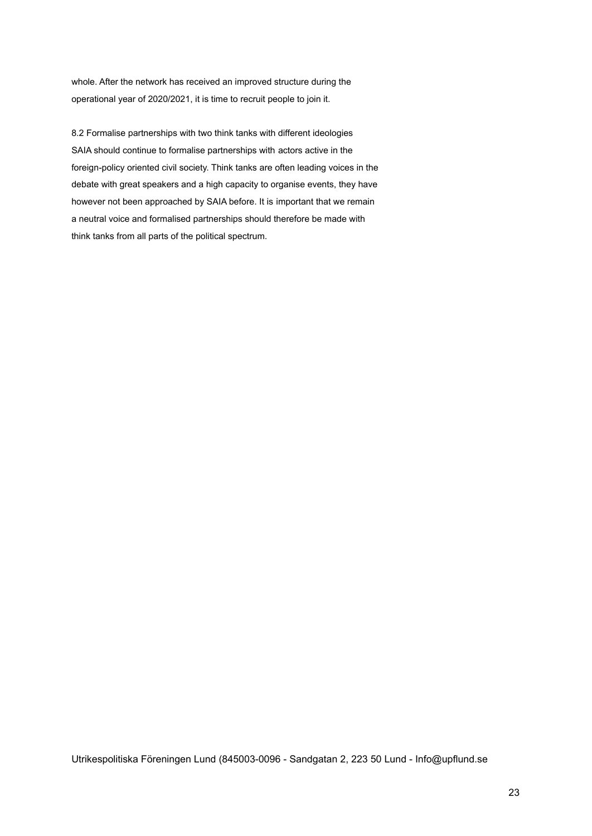whole. After the network has received an improved structure during the operational year of 2020/2021, it is time to recruit people to join it.

8.2 Formalise partnerships with two think tanks with different ideologies SAIA should continue to formalise partnerships with actors active in the foreign-policy oriented civil society. Think tanks are often leading voices in the debate with great speakers and a high capacity to organise events, they have however not been approached by SAIA before. It is important that we remain a neutral voice and formalised partnerships should therefore be made with think tanks from all parts of the political spectrum.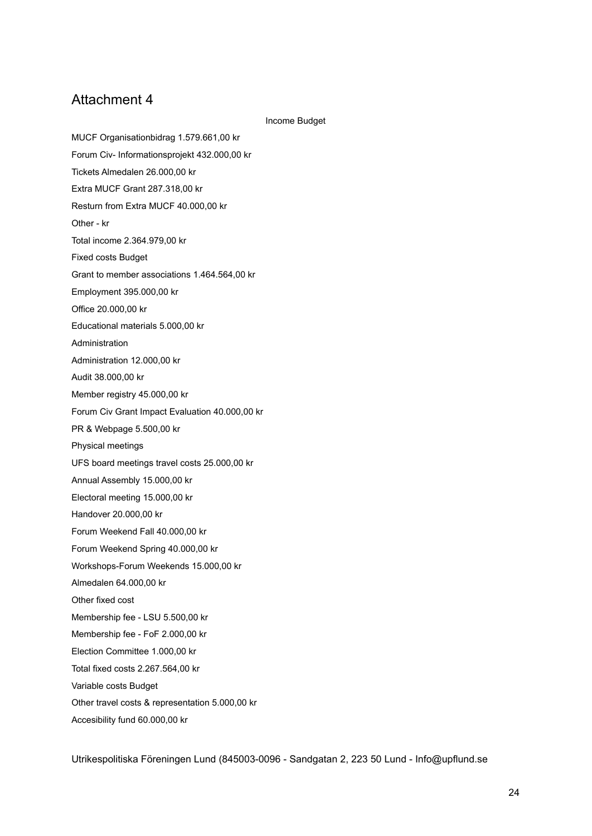Income Budget

MUCF Organisationbidrag 1.579.661,00 kr Forum Civ- Informationsprojekt 432.000,00 kr Tickets Almedalen 26.000,00 kr Extra MUCF Grant 287.318,00 kr Resturn from Extra MUCF 40.000,00 kr Other - kr Total income 2.364.979,00 kr Fixed costs Budget Grant to member associations 1.464.564,00 kr Employment 395.000,00 kr Office 20.000,00 kr Educational materials 5.000,00 kr Administration Administration 12.000,00 kr Audit 38.000,00 kr Member registry 45.000,00 kr Forum Civ Grant Impact Evaluation 40.000,00 kr PR & Webpage 5.500,00 kr Physical meetings UFS board meetings travel costs 25.000,00 kr Annual Assembly 15.000,00 kr Electoral meeting 15.000,00 kr Handover 20.000,00 kr Forum Weekend Fall 40.000,00 kr Forum Weekend Spring 40.000,00 kr Workshops-Forum Weekends 15.000,00 kr Almedalen 64.000,00 kr Other fixed cost Membership fee - LSU 5.500,00 kr Membership fee - FoF 2.000,00 kr Election Committee 1.000,00 kr Total fixed costs 2.267.564,00 kr Variable costs Budget Other travel costs & representation 5.000,00 kr Accesibility fund 60.000,00 kr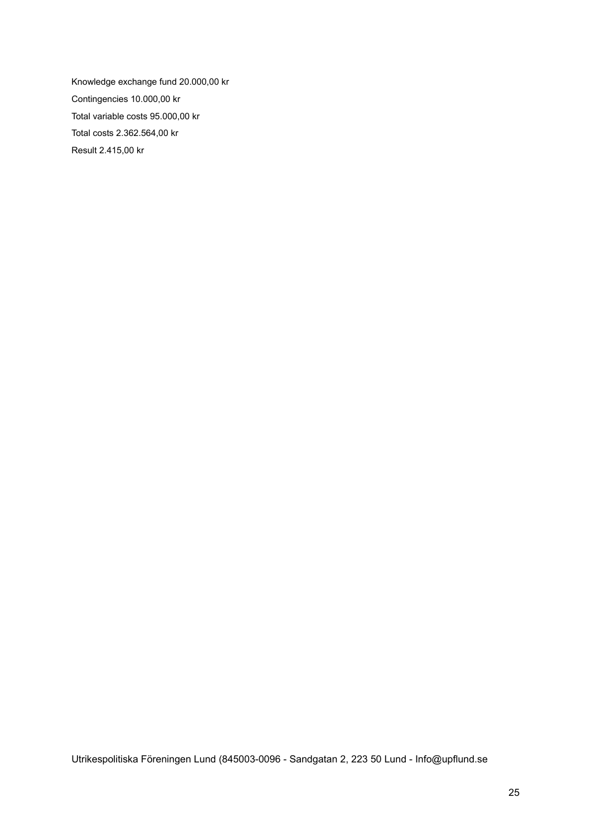Knowledge exchange fund 20.000,00 kr Contingencies 10.000,00 kr Total variable costs 95.000,00 kr Total costs 2.362.564,00 kr Result 2.415,00 kr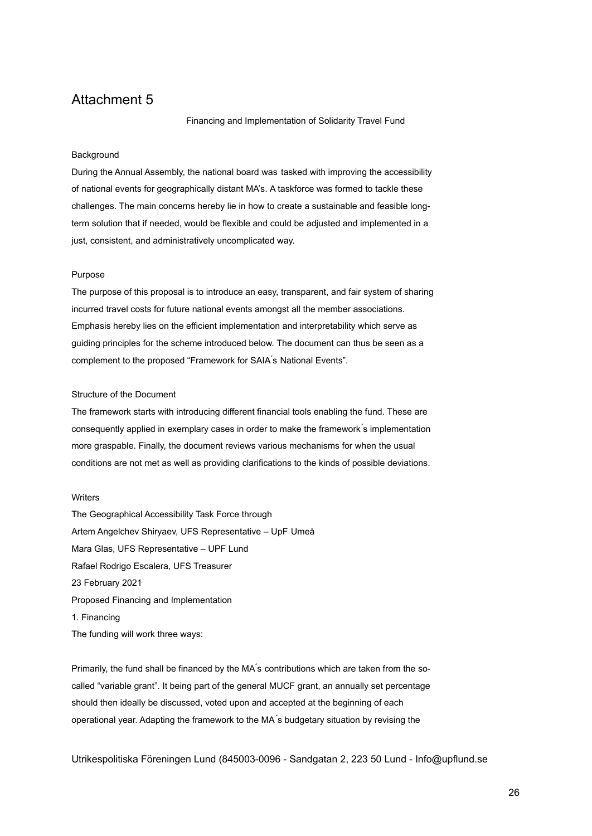Financing and Implementation of Solidarity Travel Fund

#### **Background**

During the Annual Assembly, the national board was tasked with improving the accessibility of national events for geographically distant MA's. A taskforce was formed to tackle these challenges. The main concerns hereby lie in how to create a sustainable and feasible longterm solution that if needed, would be flexible and could be adjusted and implemented in a just, consistent, and administratively uncomplicated way.

#### Purpose

The purpose of this proposal is to introduce an easy, transparent, and fair system of sharing incurred travel costs for future national events amongst all the member associations. Emphasis hereby lies on the efficient implementation and interpretability which serve as guiding principles for the scheme introduced below. The document can thus be seen as a complement to the proposed "Framework for SAIA ́s National Events".

### Structure of the Document

The framework starts with introducing different financial tools enabling the fund. These are consequently applied in exemplary cases in order to make the framework ́s implementation more graspable. Finally, the document reviews various mechanisms for when the usual conditions are not met as well as providing clarifications to the kinds of possible deviations.

### **Writers**

The Geographical Accessibility Task Force through Artem Angelchev Shiryaev, UFS Representative – UpF Umeå Mara Glas, UFS Representative – UPF Lund Rafael Rodrigo Escalera, UFS Treasurer 23 February 2021 Proposed Financing and Implementation 1. Financing The funding will work three ways:

Primarily, the fund shall be financed by the MA's contributions which are taken from the socalled "variable grant". It being part of the general MUCF grant, an annually set percentage should then ideally be discussed, voted upon and accepted at the beginning of each operational year. Adapting the framework to the MA ́s budgetary situation by revising the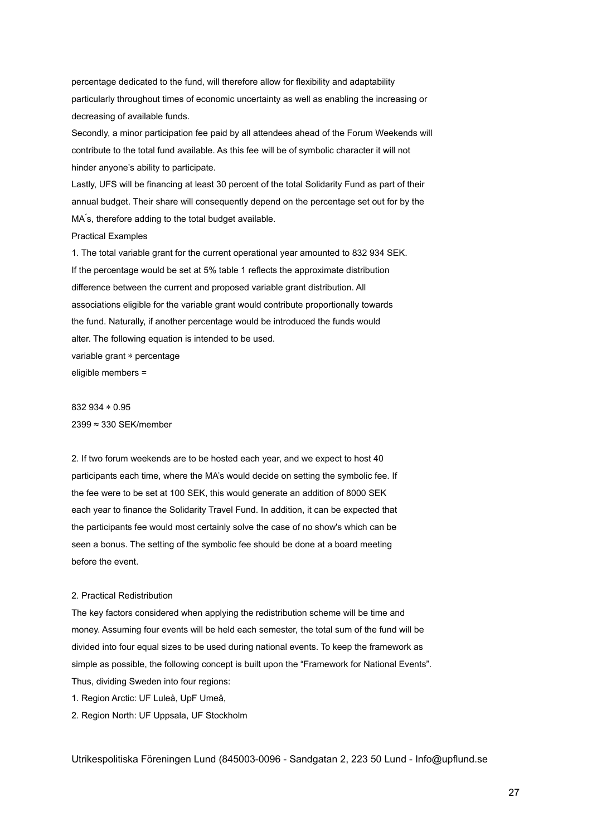percentage dedicated to the fund, will therefore allow for flexibility and adaptability particularly throughout times of economic uncertainty as well as enabling the increasing or decreasing of available funds.

Secondly, a minor participation fee paid by all attendees ahead of the Forum Weekends will contribute to the total fund available. As this fee will be of symbolic character it will not hinder anyone's ability to participate.

Lastly, UFS will be financing at least 30 percent of the total Solidarity Fund as part of their annual budget. Their share will consequently depend on the percentage set out for by the MA's, therefore adding to the total budget available.

Practical Examples

1. The total variable grant for the current operational year amounted to 832 934 SEK. If the percentage would be set at 5% table 1 reflects the approximate distribution difference between the current and proposed variable grant distribution. All associations eligible for the variable grant would contribute proportionally towards the fund. Naturally, if another percentage would be introduced the funds would alter. The following equation is intended to be used. variable grant \* percentage eligible members =

832 934 ∗ 0.95 2399 ≈ 330 SEK/member

2. If two forum weekends are to be hosted each year, and we expect to host 40 participants each time, where the MA's would decide on setting the symbolic fee. If the fee were to be set at 100 SEK, this would generate an addition of 8000 SEK each year to finance the Solidarity Travel Fund. In addition, it can be expected that the participants fee would most certainly solve the case of no show's which can be seen a bonus. The setting of the symbolic fee should be done at a board meeting before the event.

### 2. Practical Redistribution

The key factors considered when applying the redistribution scheme will be time and money. Assuming four events will be held each semester, the total sum of the fund will be divided into four equal sizes to be used during national events. To keep the framework as simple as possible, the following concept is built upon the "Framework for National Events". Thus, dividing Sweden into four regions:

- 1. Region Arctic: UF Luleå, UpF Umeå,
- 2. Region North: UF Uppsala, UF Stockholm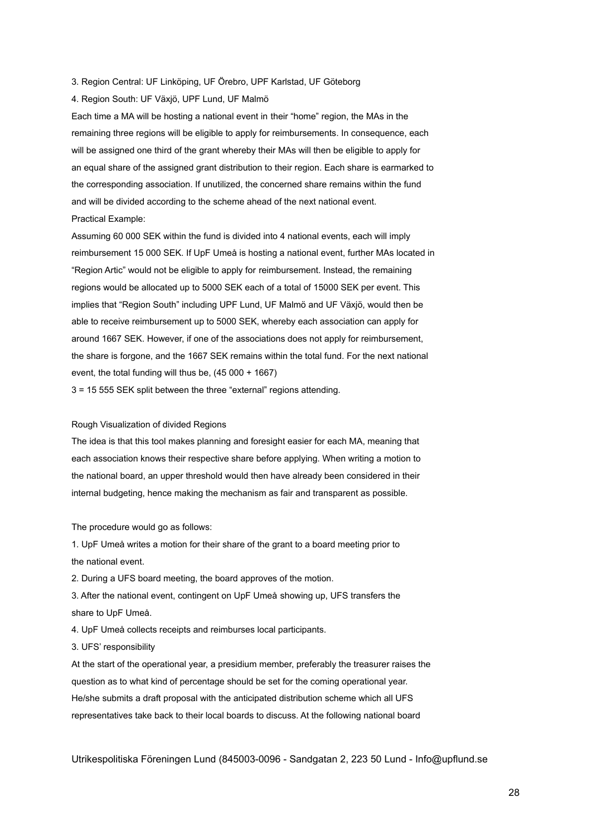3. Region Central: UF Linköping, UF Örebro, UPF Karlstad, UF Göteborg

4. Region South: UF Växjö, UPF Lund, UF Malmö

Each time a MA will be hosting a national event in their "home" region, the MAs in the remaining three regions will be eligible to apply for reimbursements. In consequence, each will be assigned one third of the grant whereby their MAs will then be eligible to apply for an equal share of the assigned grant distribution to their region. Each share is earmarked to the corresponding association. If unutilized, the concerned share remains within the fund and will be divided according to the scheme ahead of the next national event. Practical Example:

Assuming 60 000 SEK within the fund is divided into 4 national events, each will imply reimbursement 15 000 SEK. If UpF Umeå is hosting a national event, further MAs located in "Region Artic" would not be eligible to apply for reimbursement. Instead, the remaining regions would be allocated up to 5000 SEK each of a total of 15000 SEK per event. This implies that "Region South" including UPF Lund, UF Malmö and UF Växjö, would then be able to receive reimbursement up to 5000 SEK, whereby each association can apply for around 1667 SEK. However, if one of the associations does not apply for reimbursement, the share is forgone, and the 1667 SEK remains within the total fund. For the next national event, the total funding will thus be, (45 000 + 1667)

3 = 15 555 SEK split between the three "external" regions attending.

#### Rough Visualization of divided Regions

The idea is that this tool makes planning and foresight easier for each MA, meaning that each association knows their respective share before applying. When writing a motion to the national board, an upper threshold would then have already been considered in their internal budgeting, hence making the mechanism as fair and transparent as possible.

The procedure would go as follows:

1. UpF Umeå writes a motion for their share of the grant to a board meeting prior to the national event.

2. During a UFS board meeting, the board approves of the motion.

3. After the national event, contingent on UpF Umeå showing up, UFS transfers the share to UpF Umeå.

4. UpF Umeå collects receipts and reimburses local participants.

3. UFS' responsibility

At the start of the operational year, a presidium member, preferably the treasurer raises the question as to what kind of percentage should be set for the coming operational year. He/she submits a draft proposal with the anticipated distribution scheme which all UFS representatives take back to their local boards to discuss. At the following national board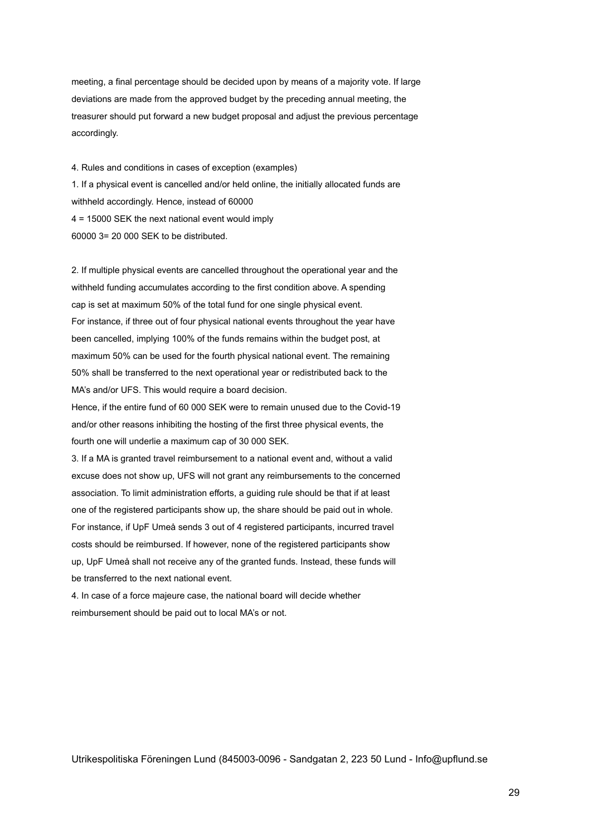meeting, a final percentage should be decided upon by means of a majority vote. If large deviations are made from the approved budget by the preceding annual meeting, the treasurer should put forward a new budget proposal and adjust the previous percentage accordingly.

4. Rules and conditions in cases of exception (examples) 1. If a physical event is cancelled and/or held online, the initially allocated funds are withheld accordingly. Hence, instead of 60000 4 = 15000 SEK the next national event would imply 60000 3= 20 000 SEK to be distributed.

2. If multiple physical events are cancelled throughout the operational year and the withheld funding accumulates according to the first condition above. A spending cap is set at maximum 50% of the total fund for one single physical event. For instance, if three out of four physical national events throughout the year have been cancelled, implying 100% of the funds remains within the budget post, at maximum 50% can be used for the fourth physical national event. The remaining 50% shall be transferred to the next operational year or redistributed back to the MA's and/or UFS. This would require a board decision.

Hence, if the entire fund of 60 000 SEK were to remain unused due to the Covid-19 and/or other reasons inhibiting the hosting of the first three physical events, the fourth one will underlie a maximum cap of 30 000 SEK.

3. If a MA is granted travel reimbursement to a national event and, without a valid excuse does not show up, UFS will not grant any reimbursements to the concerned association. To limit administration efforts, a guiding rule should be that if at least one of the registered participants show up, the share should be paid out in whole. For instance, if UpF Umeå sends 3 out of 4 registered participants, incurred travel costs should be reimbursed. If however, none of the registered participants show up, UpF Umeå shall not receive any of the granted funds. Instead, these funds will be transferred to the next national event.

4. In case of a force majeure case, the national board will decide whether reimbursement should be paid out to local MA's or not.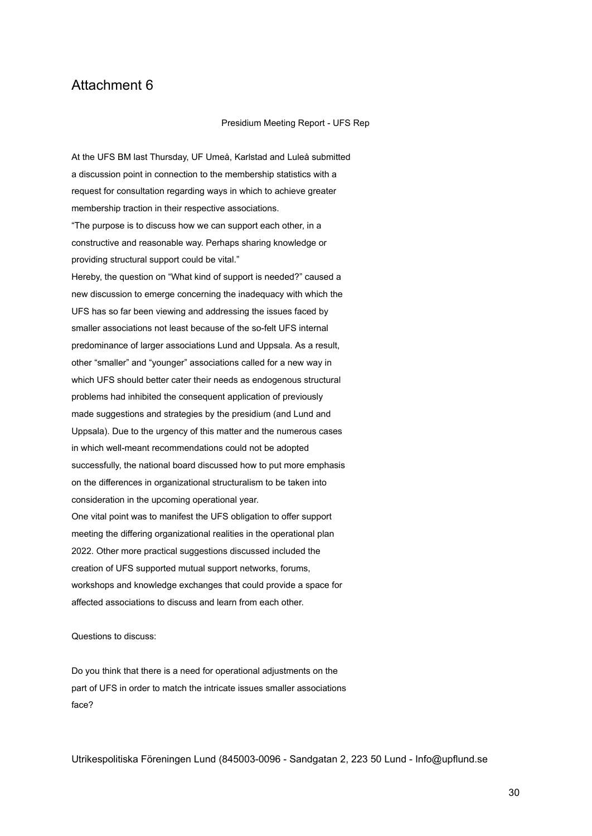Presidium Meeting Report - UFS Rep

At the UFS BM last Thursday, UF Umeå, Karlstad and Luleå submitted a discussion point in connection to the membership statistics with a request for consultation regarding ways in which to achieve greater membership traction in their respective associations. "The purpose is to discuss how we can support each other, in a constructive and reasonable way. Perhaps sharing knowledge or providing structural support could be vital." Hereby, the question on "What kind of support is needed?" caused a new discussion to emerge concerning the inadequacy with which the UFS has so far been viewing and addressing the issues faced by smaller associations not least because of the so-felt UFS internal predominance of larger associations Lund and Uppsala. As a result, other "smaller" and "younger" associations called for a new way in which UFS should better cater their needs as endogenous structural problems had inhibited the consequent application of previously made suggestions and strategies by the presidium (and Lund and Uppsala). Due to the urgency of this matter and the numerous cases in which well-meant recommendations could not be adopted successfully, the national board discussed how to put more emphasis on the differences in organizational structuralism to be taken into consideration in the upcoming operational year. One vital point was to manifest the UFS obligation to offer support meeting the differing organizational realities in the operational plan 2022. Other more practical suggestions discussed included the creation of UFS supported mutual support networks, forums, workshops and knowledge exchanges that could provide a space for affected associations to discuss and learn from each other.

Questions to discuss:

Do you think that there is a need for operational adjustments on the part of UFS in order to match the intricate issues smaller associations face?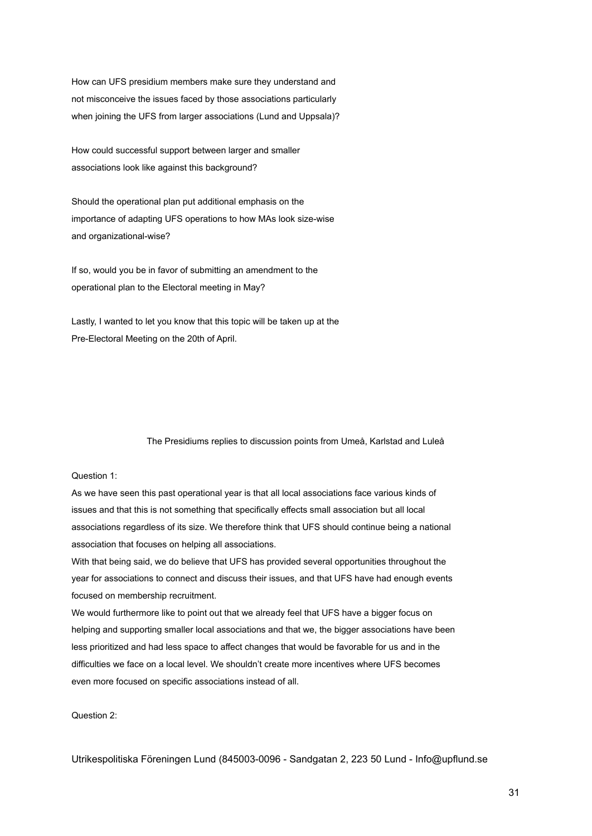How can UFS presidium members make sure they understand and not misconceive the issues faced by those associations particularly when joining the UFS from larger associations (Lund and Uppsala)?

How could successful support between larger and smaller associations look like against this background?

Should the operational plan put additional emphasis on the importance of adapting UFS operations to how MAs look size-wise and organizational-wise?

If so, would you be in favor of submitting an amendment to the operational plan to the Electoral meeting in May?

Lastly, I wanted to let you know that this topic will be taken up at the Pre-Electoral Meeting on the 20th of April.

The Presidiums replies to discussion points from Umeå, Karlstad and Luleå

### Question 1:

As we have seen this past operational year is that all local associations face various kinds of issues and that this is not something that specifically effects small association but all local associations regardless of its size. We therefore think that UFS should continue being a national association that focuses on helping all associations.

With that being said, we do believe that UFS has provided several opportunities throughout the year for associations to connect and discuss their issues, and that UFS have had enough events focused on membership recruitment.

We would furthermore like to point out that we already feel that UFS have a bigger focus on helping and supporting smaller local associations and that we, the bigger associations have been less prioritized and had less space to affect changes that would be favorable for us and in the difficulties we face on a local level. We shouldn't create more incentives where UFS becomes even more focused on specific associations instead of all.

Question 2: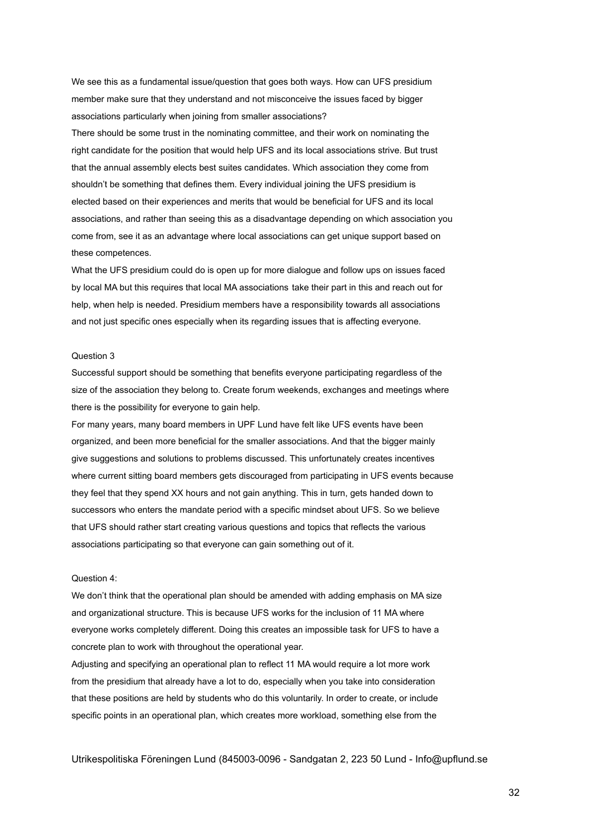We see this as a fundamental issue/question that goes both ways. How can UFS presidium member make sure that they understand and not misconceive the issues faced by bigger associations particularly when joining from smaller associations?

There should be some trust in the nominating committee, and their work on nominating the right candidate for the position that would help UFS and its local associations strive. But trust that the annual assembly elects best suites candidates. Which association they come from shouldn't be something that defines them. Every individual joining the UFS presidium is elected based on their experiences and merits that would be beneficial for UFS and its local associations, and rather than seeing this as a disadvantage depending on which association you come from, see it as an advantage where local associations can get unique support based on these competences.

What the UFS presidium could do is open up for more dialogue and follow ups on issues faced by local MA but this requires that local MA associations take their part in this and reach out for help, when help is needed. Presidium members have a responsibility towards all associations and not just specific ones especially when its regarding issues that is affecting everyone.

### Question 3

Successful support should be something that benefits everyone participating regardless of the size of the association they belong to. Create forum weekends, exchanges and meetings where there is the possibility for everyone to gain help.

For many years, many board members in UPF Lund have felt like UFS events have been organized, and been more beneficial for the smaller associations. And that the bigger mainly give suggestions and solutions to problems discussed. This unfortunately creates incentives where current sitting board members gets discouraged from participating in UFS events because they feel that they spend XX hours and not gain anything. This in turn, gets handed down to successors who enters the mandate period with a specific mindset about UFS. So we believe that UFS should rather start creating various questions and topics that reflects the various associations participating so that everyone can gain something out of it.

#### Question 4:

We don't think that the operational plan should be amended with adding emphasis on MA size and organizational structure. This is because UFS works for the inclusion of 11 MA where everyone works completely different. Doing this creates an impossible task for UFS to have a concrete plan to work with throughout the operational year.

Adjusting and specifying an operational plan to reflect 11 MA would require a lot more work from the presidium that already have a lot to do, especially when you take into consideration that these positions are held by students who do this voluntarily. In order to create, or include specific points in an operational plan, which creates more workload, something else from the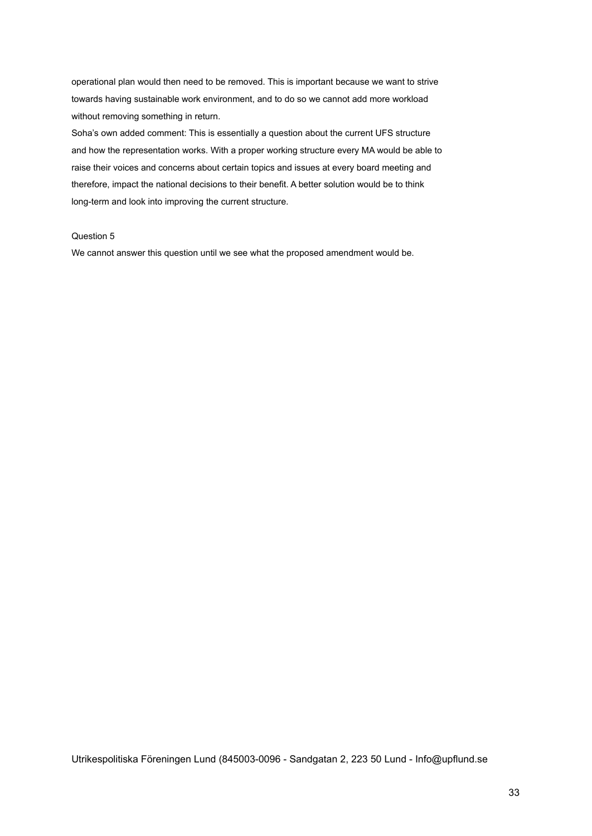operational plan would then need to be removed. This is important because we want to strive towards having sustainable work environment, and to do so we cannot add more workload without removing something in return.

Soha's own added comment: This is essentially a question about the current UFS structure and how the representation works. With a proper working structure every MA would be able to raise their voices and concerns about certain topics and issues at every board meeting and therefore, impact the national decisions to their benefit. A better solution would be to think long-term and look into improving the current structure.

### Question 5

We cannot answer this question until we see what the proposed amendment would be.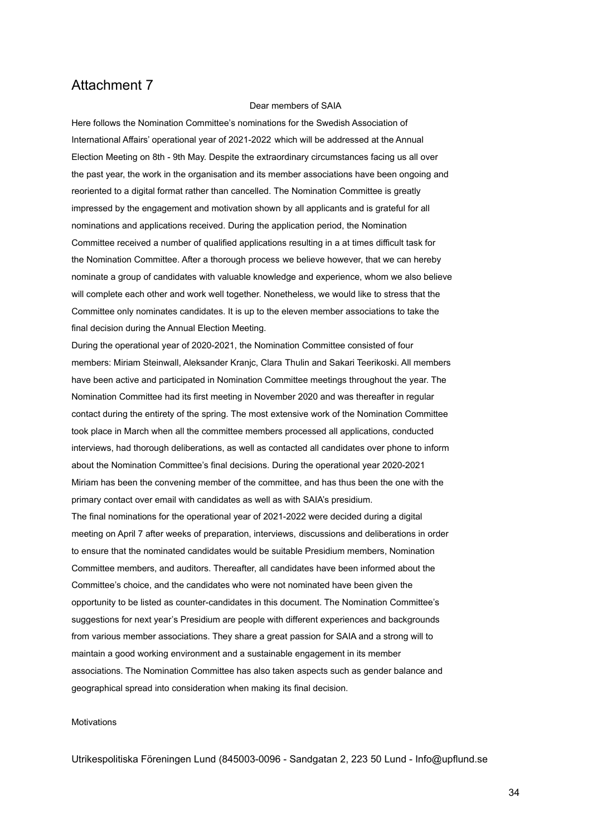#### Dear members of SAIA

Here follows the Nomination Committee's nominations for the Swedish Association of International Affairs' operational year of 2021-2022 which will be addressed at the Annual Election Meeting on 8th - 9th May. Despite the extraordinary circumstances facing us all over the past year, the work in the organisation and its member associations have been ongoing and reoriented to a digital format rather than cancelled. The Nomination Committee is greatly impressed by the engagement and motivation shown by all applicants and is grateful for all nominations and applications received. During the application period, the Nomination Committee received a number of qualified applications resulting in a at times difficult task for the Nomination Committee. After a thorough process we believe however, that we can hereby nominate a group of candidates with valuable knowledge and experience, whom we also believe will complete each other and work well together. Nonetheless, we would like to stress that the Committee only nominates candidates. It is up to the eleven member associations to take the final decision during the Annual Election Meeting.

During the operational year of 2020-2021, the Nomination Committee consisted of four members: Miriam Steinwall, Aleksander Kranjc, Clara Thulin and Sakari Teerikoski. All members have been active and participated in Nomination Committee meetings throughout the year. The Nomination Committee had its first meeting in November 2020 and was thereafter in regular contact during the entirety of the spring. The most extensive work of the Nomination Committee took place in March when all the committee members processed all applications, conducted interviews, had thorough deliberations, as well as contacted all candidates over phone to inform about the Nomination Committee's final decisions. During the operational year 2020-2021 Miriam has been the convening member of the committee, and has thus been the one with the primary contact over email with candidates as well as with SAIA's presidium.

The final nominations for the operational year of 2021-2022 were decided during a digital meeting on April 7 after weeks of preparation, interviews, discussions and deliberations in order to ensure that the nominated candidates would be suitable Presidium members, Nomination Committee members, and auditors. Thereafter, all candidates have been informed about the Committee's choice, and the candidates who were not nominated have been given the opportunity to be listed as counter-candidates in this document. The Nomination Committee's suggestions for next year's Presidium are people with different experiences and backgrounds from various member associations. They share a great passion for SAIA and a strong will to maintain a good working environment and a sustainable engagement in its member associations. The Nomination Committee has also taken aspects such as gender balance and geographical spread into consideration when making its final decision.

### **Motivations**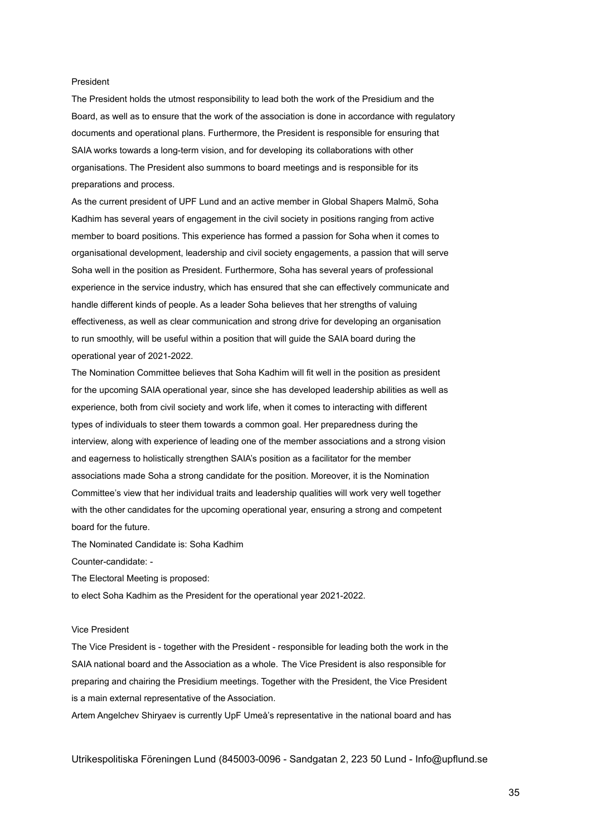### President

The President holds the utmost responsibility to lead both the work of the Presidium and the Board, as well as to ensure that the work of the association is done in accordance with regulatory documents and operational plans. Furthermore, the President is responsible for ensuring that SAIA works towards a long-term vision, and for developing its collaborations with other organisations. The President also summons to board meetings and is responsible for its preparations and process.

As the current president of UPF Lund and an active member in Global Shapers Malmö, Soha Kadhim has several years of engagement in the civil society in positions ranging from active member to board positions. This experience has formed a passion for Soha when it comes to organisational development, leadership and civil society engagements, a passion that will serve Soha well in the position as President. Furthermore, Soha has several years of professional experience in the service industry, which has ensured that she can effectively communicate and handle different kinds of people. As a leader Soha believes that her strengths of valuing effectiveness, as well as clear communication and strong drive for developing an organisation to run smoothly, will be useful within a position that will guide the SAIA board during the operational year of 2021-2022.

The Nomination Committee believes that Soha Kadhim will fit well in the position as president for the upcoming SAIA operational year, since she has developed leadership abilities as well as experience, both from civil society and work life, when it comes to interacting with different types of individuals to steer them towards a common goal. Her preparedness during the interview, along with experience of leading one of the member associations and a strong vision and eagerness to holistically strengthen SAIA's position as a facilitator for the member associations made Soha a strong candidate for the position. Moreover, it is the Nomination Committee's view that her individual traits and leadership qualities will work very well together with the other candidates for the upcoming operational year, ensuring a strong and competent board for the future.

The Nominated Candidate is: Soha Kadhim

Counter-candidate: -

The Electoral Meeting is proposed:

to elect Soha Kadhim as the President for the operational year 2021-2022.

#### Vice President

The Vice President is - together with the President - responsible for leading both the work in the SAIA national board and the Association as a whole. The Vice President is also responsible for preparing and chairing the Presidium meetings. Together with the President, the Vice President is a main external representative of the Association.

Artem Angelchev Shiryaev is currently UpF Umeå's representative in the national board and has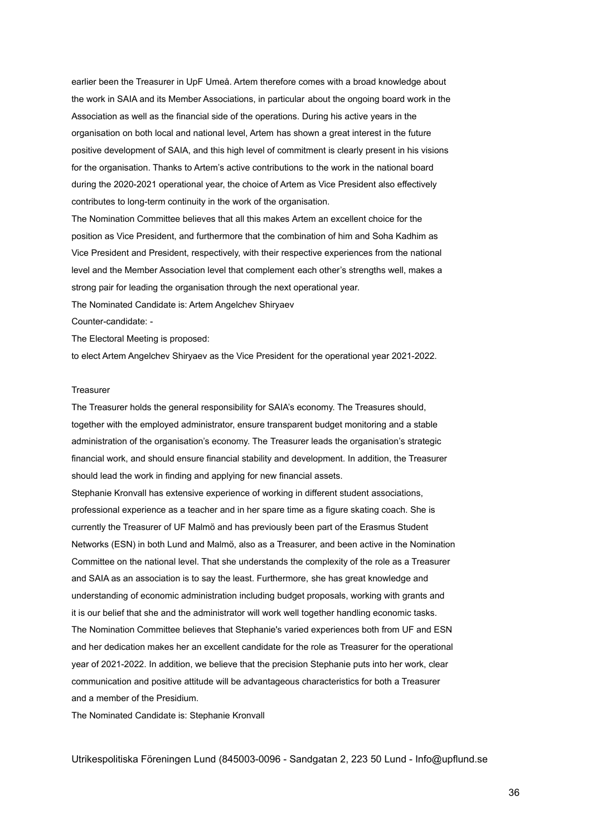earlier been the Treasurer in UpF Umeå. Artem therefore comes with a broad knowledge about the work in SAIA and its Member Associations, in particular about the ongoing board work in the Association as well as the financial side of the operations. During his active years in the organisation on both local and national level, Artem has shown a great interest in the future positive development of SAIA, and this high level of commitment is clearly present in his visions for the organisation. Thanks to Artem's active contributions to the work in the national board during the 2020-2021 operational year, the choice of Artem as Vice President also effectively contributes to long-term continuity in the work of the organisation.

The Nomination Committee believes that all this makes Artem an excellent choice for the position as Vice President, and furthermore that the combination of him and Soha Kadhim as Vice President and President, respectively, with their respective experiences from the national level and the Member Association level that complement each other's strengths well, makes a strong pair for leading the organisation through the next operational year.

The Nominated Candidate is: Artem Angelchev Shiryaev

Counter-candidate: -

The Electoral Meeting is proposed:

to elect Artem Angelchev Shiryaev as the Vice President for the operational year 2021-2022.

#### **Treasurer**

The Treasurer holds the general responsibility for SAIA's economy. The Treasures should, together with the employed administrator, ensure transparent budget monitoring and a stable administration of the organisation's economy. The Treasurer leads the organisation's strategic financial work, and should ensure financial stability and development. In addition, the Treasurer should lead the work in finding and applying for new financial assets.

Stephanie Kronvall has extensive experience of working in different student associations, professional experience as a teacher and in her spare time as a figure skating coach. She is currently the Treasurer of UF Malmö and has previously been part of the Erasmus Student Networks (ESN) in both Lund and Malmö, also as a Treasurer, and been active in the Nomination Committee on the national level. That she understands the complexity of the role as a Treasurer and SAIA as an association is to say the least. Furthermore, she has great knowledge and understanding of economic administration including budget proposals, working with grants and it is our belief that she and the administrator will work well together handling economic tasks. The Nomination Committee believes that Stephanie's varied experiences both from UF and ESN and her dedication makes her an excellent candidate for the role as Treasurer for the operational year of 2021-2022. In addition, we believe that the precision Stephanie puts into her work, clear communication and positive attitude will be advantageous characteristics for both a Treasurer and a member of the Presidium.

The Nominated Candidate is: Stephanie Kronvall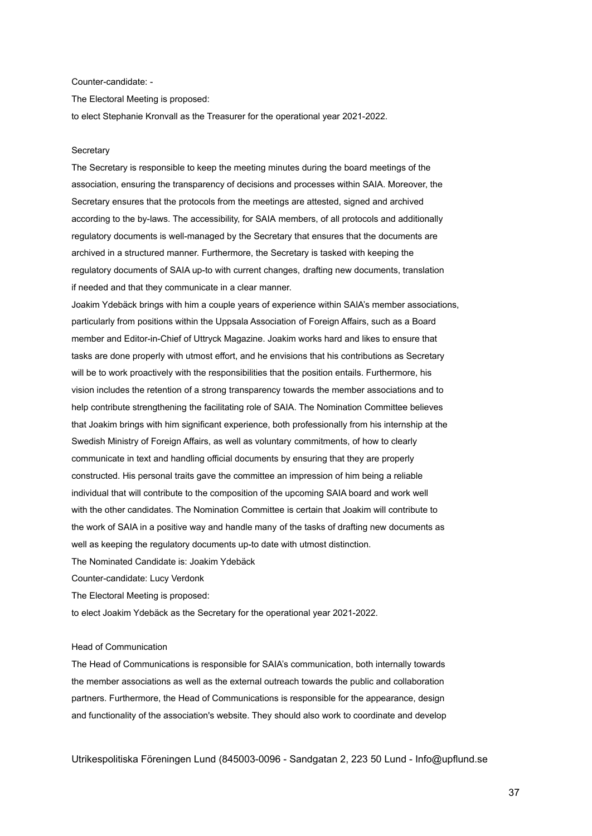### Counter-candidate: -

The Electoral Meeting is proposed:

to elect Stephanie Kronvall as the Treasurer for the operational year 2021-2022.

#### **Secretary**

The Secretary is responsible to keep the meeting minutes during the board meetings of the association, ensuring the transparency of decisions and processes within SAIA. Moreover, the Secretary ensures that the protocols from the meetings are attested, signed and archived according to the by-laws. The accessibility, for SAIA members, of all protocols and additionally regulatory documents is well-managed by the Secretary that ensures that the documents are archived in a structured manner. Furthermore, the Secretary is tasked with keeping the regulatory documents of SAIA up-to with current changes, drafting new documents, translation if needed and that they communicate in a clear manner.

Joakim Ydebäck brings with him a couple years of experience within SAIA's member associations, particularly from positions within the Uppsala Association of Foreign Affairs, such as a Board member and Editor-in-Chief of Uttryck Magazine. Joakim works hard and likes to ensure that tasks are done properly with utmost effort, and he envisions that his contributions as Secretary will be to work proactively with the responsibilities that the position entails. Furthermore, his vision includes the retention of a strong transparency towards the member associations and to help contribute strengthening the facilitating role of SAIA. The Nomination Committee believes that Joakim brings with him significant experience, both professionally from his internship at the Swedish Ministry of Foreign Affairs, as well as voluntary commitments, of how to clearly communicate in text and handling official documents by ensuring that they are properly constructed. His personal traits gave the committee an impression of him being a reliable individual that will contribute to the composition of the upcoming SAIA board and work well with the other candidates. The Nomination Committee is certain that Joakim will contribute to the work of SAIA in a positive way and handle many of the tasks of drafting new documents as well as keeping the regulatory documents up-to date with utmost distinction.

The Nominated Candidate is: Joakim Ydebäck

Counter-candidate: Lucy Verdonk

The Electoral Meeting is proposed:

to elect Joakim Ydebäck as the Secretary for the operational year 2021-2022.

### Head of Communication

The Head of Communications is responsible for SAIA's communication, both internally towards the member associations as well as the external outreach towards the public and collaboration partners. Furthermore, the Head of Communications is responsible for the appearance, design and functionality of the association's website. They should also work to coordinate and develop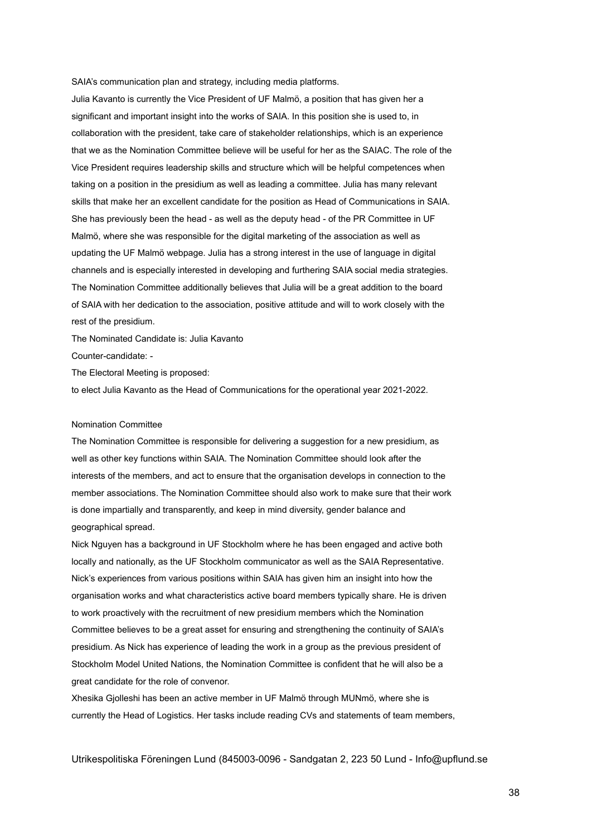SAIA's communication plan and strategy, including media platforms.

Julia Kavanto is currently the Vice President of UF Malmö, a position that has given her a significant and important insight into the works of SAIA. In this position she is used to, in collaboration with the president, take care of stakeholder relationships, which is an experience that we as the Nomination Committee believe will be useful for her as the SAIAC. The role of the Vice President requires leadership skills and structure which will be helpful competences when taking on a position in the presidium as well as leading a committee. Julia has many relevant skills that make her an excellent candidate for the position as Head of Communications in SAIA. She has previously been the head - as well as the deputy head - of the PR Committee in UF Malmö, where she was responsible for the digital marketing of the association as well as updating the UF Malmö webpage. Julia has a strong interest in the use of language in digital channels and is especially interested in developing and furthering SAIA social media strategies. The Nomination Committee additionally believes that Julia will be a great addition to the board of SAIA with her dedication to the association, positive attitude and will to work closely with the rest of the presidium.

The Nominated Candidate is: Julia Kavanto

Counter-candidate: -

The Electoral Meeting is proposed:

to elect Julia Kavanto as the Head of Communications for the operational year 2021-2022.

#### Nomination Committee

The Nomination Committee is responsible for delivering a suggestion for a new presidium, as well as other key functions within SAIA. The Nomination Committee should look after the interests of the members, and act to ensure that the organisation develops in connection to the member associations. The Nomination Committee should also work to make sure that their work is done impartially and transparently, and keep in mind diversity, gender balance and geographical spread.

Nick Nguyen has a background in UF Stockholm where he has been engaged and active both locally and nationally, as the UF Stockholm communicator as well as the SAIA Representative. Nick's experiences from various positions within SAIA has given him an insight into how the organisation works and what characteristics active board members typically share. He is driven to work proactively with the recruitment of new presidium members which the Nomination Committee believes to be a great asset for ensuring and strengthening the continuity of SAIA's presidium. As Nick has experience of leading the work in a group as the previous president of Stockholm Model United Nations, the Nomination Committee is confident that he will also be a great candidate for the role of convenor.

Xhesika Gjolleshi has been an active member in UF Malmö through MUNmö, where she is currently the Head of Logistics. Her tasks include reading CVs and statements of team members,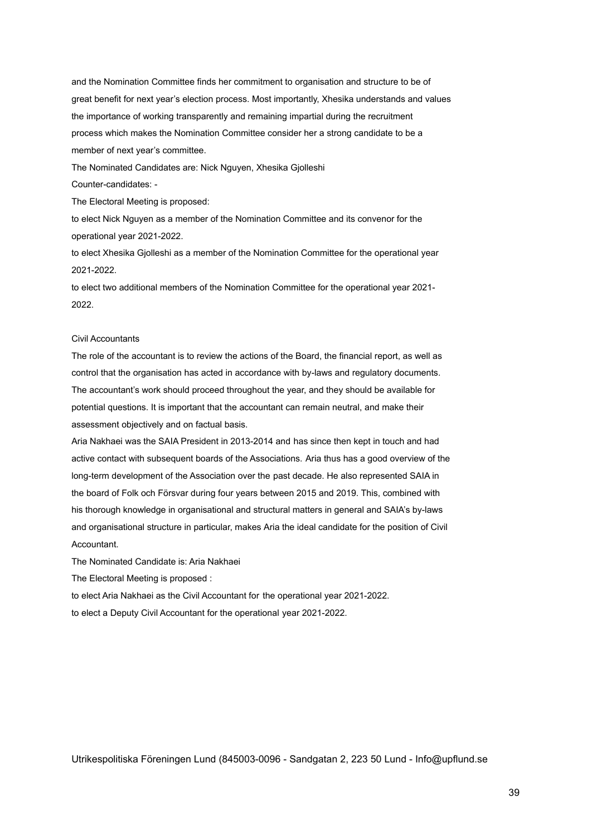and the Nomination Committee finds her commitment to organisation and structure to be of great benefit for next year's election process. Most importantly, Xhesika understands and values the importance of working transparently and remaining impartial during the recruitment process which makes the Nomination Committee consider her a strong candidate to be a member of next year's committee.

The Nominated Candidates are: Nick Nguyen, Xhesika Gjolleshi

Counter-candidates: -

The Electoral Meeting is proposed:

to elect Nick Nguyen as a member of the Nomination Committee and its convenor for the operational year 2021-2022.

to elect Xhesika Gjolleshi as a member of the Nomination Committee for the operational year 2021-2022.

to elect two additional members of the Nomination Committee for the operational year 2021- 2022.

### Civil Accountants

The role of the accountant is to review the actions of the Board, the financial report, as well as control that the organisation has acted in accordance with by-laws and regulatory documents. The accountant's work should proceed throughout the year, and they should be available for potential questions. It is important that the accountant can remain neutral, and make their assessment objectively and on factual basis.

Aria Nakhaei was the SAIA President in 2013-2014 and has since then kept in touch and had active contact with subsequent boards of the Associations. Aria thus has a good overview of the long-term development of the Association over the past decade. He also represented SAIA in the board of Folk och Försvar during four years between 2015 and 2019. This, combined with his thorough knowledge in organisational and structural matters in general and SAIA's by-laws and organisational structure in particular, makes Aria the ideal candidate for the position of Civil Accountant.

The Nominated Candidate is: Aria Nakhaei

The Electoral Meeting is proposed :

to elect Aria Nakhaei as the Civil Accountant for the operational year 2021-2022.

to elect a Deputy Civil Accountant for the operational year 2021-2022.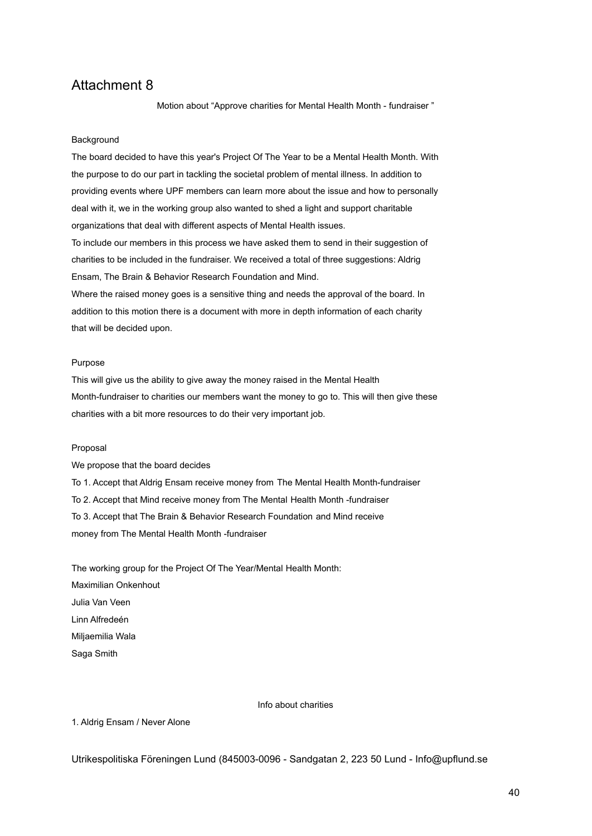Motion about "Approve charities for Mental Health Month - fundraiser "

### **Background**

The board decided to have this year's Project Of The Year to be a Mental Health Month. With the purpose to do our part in tackling the societal problem of mental illness. In addition to providing events where UPF members can learn more about the issue and how to personally deal with it, we in the working group also wanted to shed a light and support charitable organizations that deal with different aspects of Mental Health issues. To include our members in this process we have asked them to send in their suggestion of charities to be included in the fundraiser. We received a total of three suggestions: Aldrig Ensam, The Brain & Behavior Research Foundation and Mind. Where the raised money goes is a sensitive thing and needs the approval of the board. In

addition to this motion there is a document with more in depth information of each charity that will be decided upon.

#### Purpose

This will give us the ability to give away the money raised in the Mental Health Month-fundraiser to charities our members want the money to go to. This will then give these charities with a bit more resources to do their very important job.

#### Proposal

We propose that the board decides

To 1. Accept that Aldrig Ensam receive money from The Mental Health Month-fundraiser

To 2. Accept that Mind receive money from The Mental Health Month -fundraiser

To 3. Accept that The Brain & Behavior Research Foundation and Mind receive

money from The Mental Health Month -fundraiser

The working group for the Project Of The Year/Mental Health Month: Maximilian Onkenhout Julia Van Veen Linn Alfredeén Miljaemilia Wala Saga Smith

Info about charities

1. Aldrig Ensam / Never Alone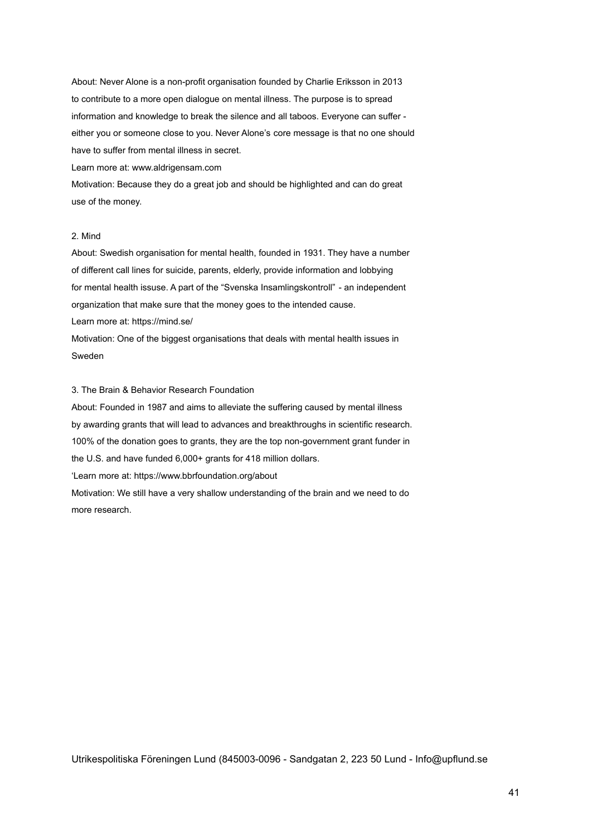About: Never Alone is a non-profit organisation founded by Charlie Eriksson in 2013 to contribute to a more open dialogue on mental illness. The purpose is to spread information and knowledge to break the silence and all taboos. Everyone can suffer either you or someone close to you. Never Alone's core message is that no one should have to suffer from mental illness in secret.

Learn more at: www.aldrigensam.com

Motivation: Because they do a great job and should be highlighted and can do great use of the money.

### 2. Mind

About: Swedish organisation for mental health, founded in 1931. They have a number of different call lines for suicide, parents, elderly, provide information and lobbying for mental health issuse. A part of the "Svenska Insamlingskontroll" - an independent organization that make sure that the money goes to the intended cause. Learn more at: https://mind.se/

Motivation: One of the biggest organisations that deals with mental health issues in Sweden

### 3. The Brain & Behavior Research Foundation

About: Founded in 1987 and aims to alleviate the suffering caused by mental illness by awarding grants that will lead to advances and breakthroughs in scientific research. 100% of the donation goes to grants, they are the top non-government grant funder in the U.S. and have funded 6,000+ grants for 418 million dollars.

'Learn more at: https://www.bbrfoundation.org/about

Motivation: We still have a very shallow understanding of the brain and we need to do more research.